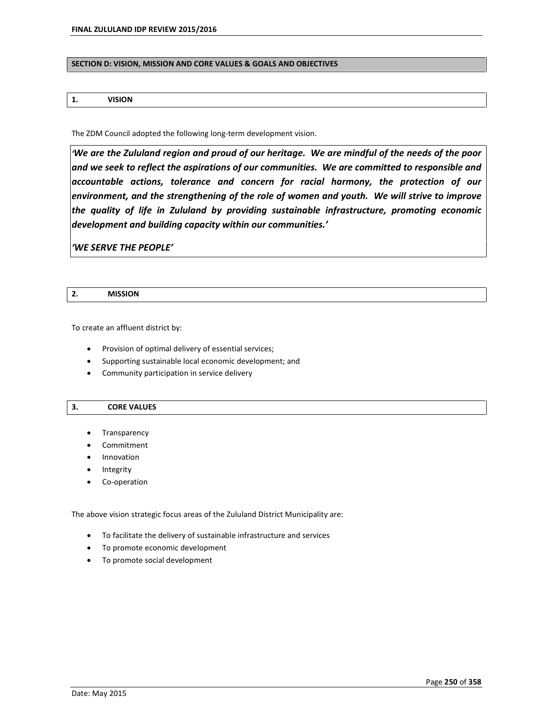#### **SECTION D: VISION, MISSION AND CORE VALUES & GOALS AND OBJECTIVES**

### **1. VISION**

The ZDM Council adopted the following long-term development vision.

*ëWe are the Zululand region and proud of our heritage. We are mindful of the needs of the poor and we seek to reflect the aspirations of our communities. We are committed to responsible and accountable actions, tolerance and concern for racial harmony, the protection of our environment, and the strengthening of the role of women and youth. We will strive to improve the quality of life in Zululand by providing sustainable infrastructure, promoting economic development and building capacity within our communities.í*

*ëWE SERVE THE PEOPLEí*

| <b>MISSION</b> |
|----------------|
|                |

To create an affluent district by:

- Provision of optimal delivery of essential services;
- Supporting sustainable local economic development; and
- Community participation in service delivery

#### **3. CORE VALUES**

- Transparency
- Commitment
- Innovation
- Integrity
- Co-operation

The above vision strategic focus areas of the Zululand District Municipality are:

- To facilitate the delivery of sustainable infrastructure and services
- To promote economic development
- To promote social development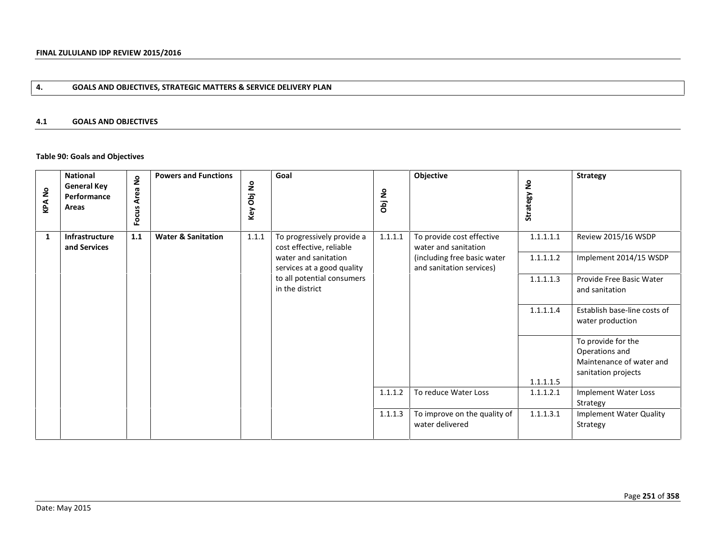# **4. GOALS AND OBJECTIVES, STRATEGIC MATTERS & SERVICE DELIVERY PLAN**

### **4.1 GOALS AND OBJECTIVES**

# **Table 90: Goals and Objectives**

| $\frac{1}{2}$<br>KPA | <b>National</b><br><b>General Key</b><br>Performance<br>Areas | $\mathsf{S}$<br>Area<br>Focus | <b>Powers and Functions</b>   | å<br>$\overline{a}$<br>Key | Goal                                                   | Obj No  | Objective                                               | $\mathsf{S}$<br>Strategy I | <b>Strategy</b>                                  |
|----------------------|---------------------------------------------------------------|-------------------------------|-------------------------------|----------------------------|--------------------------------------------------------|---------|---------------------------------------------------------|----------------------------|--------------------------------------------------|
| 1                    | Infrastructure<br>and Services                                | 1.1                           | <b>Water &amp; Sanitation</b> | 1.1.1                      | To progressively provide a<br>cost effective, reliable | 1.1.1.1 | To provide cost effective<br>water and sanitation       | 1.1.1.1.1                  | Review 2015/16 WSDP                              |
|                      |                                                               |                               |                               |                            | water and sanitation<br>services at a good quality     |         | (including free basic water<br>and sanitation services) | 1.1.1.1.2                  | Implement 2014/15 WSDP                           |
|                      |                                                               |                               |                               |                            | to all potential consumers<br>in the district          |         |                                                         | 1.1.1.1.3                  | Provide Free Basic Water<br>and sanitation       |
|                      |                                                               |                               |                               |                            |                                                        |         |                                                         | 1.1.1.1.4                  | Establish base-line costs of<br>water production |
|                      |                                                               |                               |                               |                            |                                                        |         |                                                         |                            | To provide for the<br>Operations and             |
|                      |                                                               |                               |                               |                            |                                                        |         |                                                         |                            | Maintenance of water and<br>sanitation projects  |
|                      |                                                               |                               |                               |                            |                                                        |         |                                                         | 1.1.1.1.5                  |                                                  |
|                      |                                                               |                               |                               |                            |                                                        | 1.1.1.2 | To reduce Water Loss                                    | 1.1.1.2.1                  | Implement Water Loss<br>Strategy                 |
|                      |                                                               |                               |                               |                            |                                                        | 1.1.1.3 | To improve on the quality of                            | 1.1.1.3.1                  | <b>Implement Water Quality</b>                   |
|                      |                                                               |                               |                               |                            |                                                        |         | water delivered                                         |                            | Strategy                                         |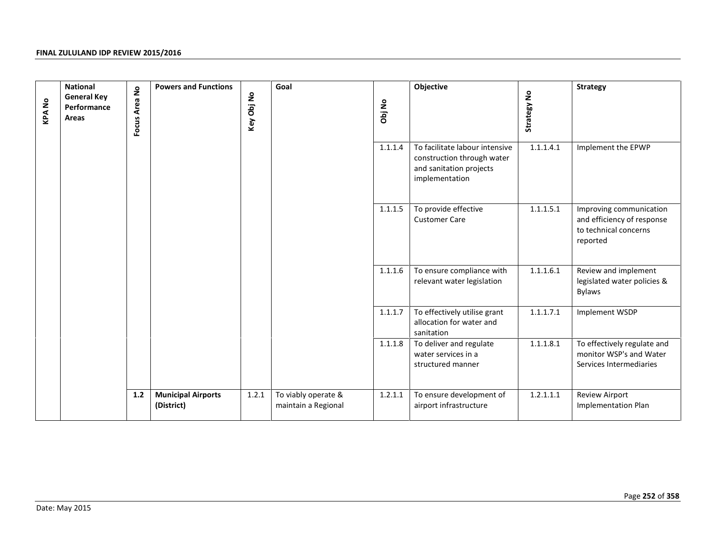| <b>KPANo</b> | <b>National</b><br><b>General Key</b><br>Performance<br>Areas | Focus Area No | <b>Powers and Functions</b>             | Key Obj No | Goal                                       | Obj No  | Objective                                                                                                 | Strategy No | <b>Strategy</b>                                                                            |
|--------------|---------------------------------------------------------------|---------------|-----------------------------------------|------------|--------------------------------------------|---------|-----------------------------------------------------------------------------------------------------------|-------------|--------------------------------------------------------------------------------------------|
|              |                                                               |               |                                         |            |                                            | 1.1.1.4 | To facilitate labour intensive<br>construction through water<br>and sanitation projects<br>implementation | 1.1.1.4.1   | Implement the EPWP                                                                         |
|              |                                                               |               |                                         |            |                                            | 1.1.1.5 | To provide effective<br><b>Customer Care</b>                                                              | 1.1.1.5.1   | Improving communication<br>and efficiency of response<br>to technical concerns<br>reported |
|              |                                                               |               |                                         |            |                                            | 1.1.1.6 | To ensure compliance with<br>relevant water legislation                                                   | 1.1.1.6.1   | Review and implement<br>legislated water policies &<br><b>Bylaws</b>                       |
|              |                                                               |               |                                         |            |                                            | 1.1.1.7 | To effectively utilise grant<br>allocation for water and<br>sanitation                                    | 1.1.1.7.1   | Implement WSDP                                                                             |
|              |                                                               |               |                                         |            |                                            | 1.1.1.8 | To deliver and regulate<br>water services in a<br>structured manner                                       | 1.1.1.8.1   | To effectively regulate and<br>monitor WSP's and Water<br>Services Intermediaries          |
|              |                                                               | $1.2\,$       | <b>Municipal Airports</b><br>(District) | 1.2.1      | To viably operate &<br>maintain a Regional | 1.2.1.1 | To ensure development of<br>airport infrastructure                                                        | 1.2.1.1.1   | Review Airport<br>Implementation Plan                                                      |
|              |                                                               |               |                                         |            |                                            |         |                                                                                                           |             |                                                                                            |
|              | Date: May 2015                                                |               |                                         |            |                                            |         |                                                                                                           |             | Page 252 of 358                                                                            |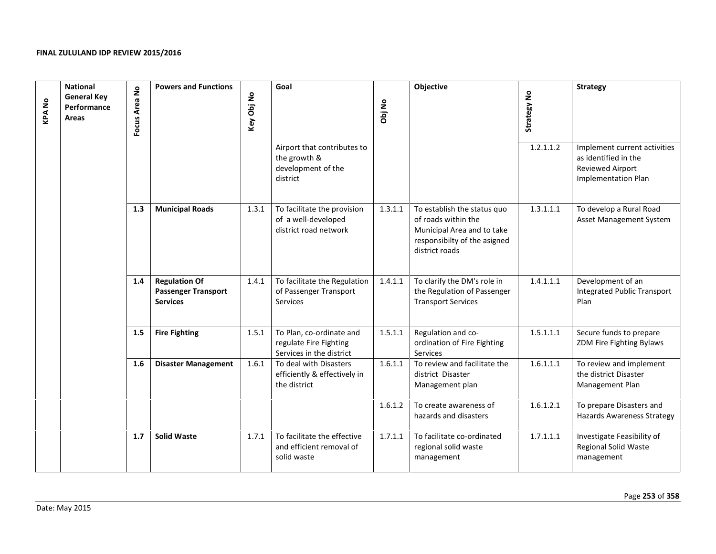| <b>National</b><br><b>General Key</b><br><b>KPANo</b><br>Performance<br><b>Areas</b> |                | <b>Powers and Functions</b><br>$\mathsf{S}$<br>Focus Area | Key Obj No                                                            | Goal  | Obj No                                                                         | Objective | Strategy No                                                                                                                        | <b>Strategy</b> |                                                                                                 |
|--------------------------------------------------------------------------------------|----------------|-----------------------------------------------------------|-----------------------------------------------------------------------|-------|--------------------------------------------------------------------------------|-----------|------------------------------------------------------------------------------------------------------------------------------------|-----------------|-------------------------------------------------------------------------------------------------|
|                                                                                      |                |                                                           |                                                                       |       | Airport that contributes to<br>the growth &<br>development of the<br>district  |           |                                                                                                                                    | 1.2.1.1.2       | Implement current activities<br>as identified in the<br>Reviewed Airport<br>Implementation Plan |
|                                                                                      |                | 1.3                                                       | <b>Municipal Roads</b>                                                | 1.3.1 | To facilitate the provision<br>of a well-developed<br>district road network    | 1.3.1.1   | To establish the status quo<br>of roads within the<br>Municipal Area and to take<br>responsibilty of the asigned<br>district roads | 1.3.1.1.1       | To develop a Rural Road<br>Asset Management System                                              |
|                                                                                      |                | 1.4                                                       | <b>Regulation Of</b><br><b>Passenger Transport</b><br><b>Services</b> | 1.4.1 | To facilitate the Regulation<br>of Passenger Transport<br>Services             | 1.4.1.1   | To clarify the DM's role in<br>the Regulation of Passenger<br><b>Transport Services</b>                                            | 1.4.1.1.1       | Development of an<br><b>Integrated Public Transport</b><br>Plan                                 |
|                                                                                      |                | 1.5                                                       | <b>Fire Fighting</b>                                                  | 1.5.1 | To Plan, co-ordinate and<br>regulate Fire Fighting<br>Services in the district | 1.5.1.1   | Regulation and co-<br>ordination of Fire Fighting<br>Services                                                                      | 1.5.1.1.1       | Secure funds to prepare<br>ZDM Fire Fighting Bylaws                                             |
|                                                                                      |                | 1.6                                                       | <b>Disaster Management</b>                                            | 1.6.1 | To deal with Disasters<br>efficiently & effectively in<br>the district         | 1.6.1.1   | To review and facilitate the<br>district Disaster<br>Management plan                                                               | 1.6.1.1.1       | To review and implement<br>the district Disaster<br>Management Plan                             |
|                                                                                      |                |                                                           |                                                                       |       |                                                                                | 1.6.1.2   | To create awareness of<br>hazards and disasters                                                                                    | 1.6.1.2.1       | To prepare Disasters and<br><b>Hazards Awareness Strategy</b>                                   |
|                                                                                      |                | 1.7                                                       | <b>Solid Waste</b>                                                    | 1.7.1 | To facilitate the effective<br>and efficient removal of<br>solid waste         | 1.7.1.1   | To facilitate co-ordinated<br>regional solid waste<br>management                                                                   | 1.7.1.1.1       | Investigate Feasibility of<br>Regional Solid Waste<br>management                                |
|                                                                                      | Date: May 2015 |                                                           |                                                                       |       |                                                                                |           |                                                                                                                                    |                 | Page 253 of 358                                                                                 |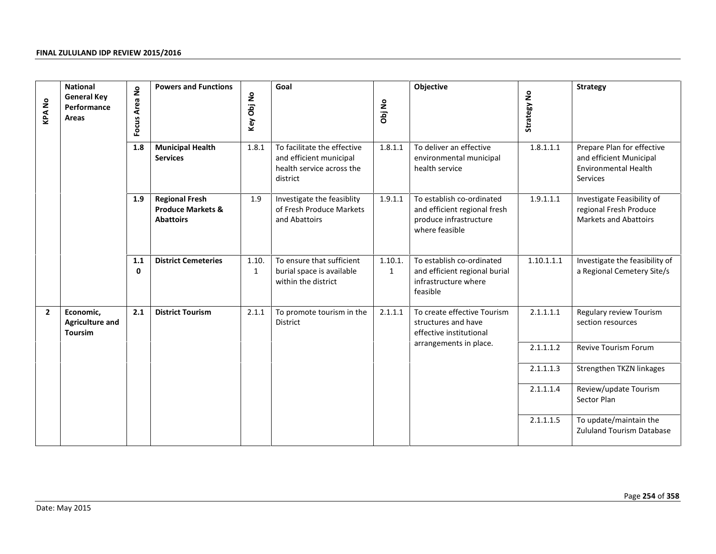| <b>KPANo</b> | <b>National</b><br><b>General Key</b><br>Performance<br>Areas | $\mathsf{S}$<br>Focus Area | <b>Powers and Functions</b>                                               | Key Obj No            | Goal                                                                                            | Obj No                  | Objective                                                                                             | Strategy No | <b>Strategy</b>                                                                                  |
|--------------|---------------------------------------------------------------|----------------------------|---------------------------------------------------------------------------|-----------------------|-------------------------------------------------------------------------------------------------|-------------------------|-------------------------------------------------------------------------------------------------------|-------------|--------------------------------------------------------------------------------------------------|
|              |                                                               | 1.8                        | <b>Municipal Health</b><br><b>Services</b>                                | 1.8.1                 | To facilitate the effective<br>and efficient municipal<br>health service across the<br>district | 1.8.1.1                 | To deliver an effective<br>environmental municipal<br>health service                                  | 1.8.1.1.1   | Prepare Plan for effective<br>and efficient Municipal<br><b>Environmental Health</b><br>Services |
|              |                                                               | 1.9                        | <b>Regional Fresh</b><br><b>Produce Markets &amp;</b><br><b>Abattoirs</b> | 1.9                   | Investigate the feasiblity<br>of Fresh Produce Markets<br>and Abattoirs                         | 1.9.1.1                 | To establish co-ordinated<br>and efficient regional fresh<br>produce infrastructure<br>where feasible | 1.9.1.1.1   | Investigate Feasibility of<br>regional Fresh Produce<br>Markets and Abattoirs                    |
|              |                                                               | 1.1<br>$\mathbf 0$         | <b>District Cemeteries</b>                                                | 1.10.<br>$\mathbf{1}$ | To ensure that sufficient<br>burial space is available<br>within the district                   | 1.10.1.<br>$\mathbf{1}$ | To establish co-ordinated<br>and efficient regional burial<br>infrastructure where<br>feasible        | 1.10.1.1.1  | Investigate the feasibility of<br>a Regional Cemetery Site/s                                     |
| $\mathbf{2}$ | Economic,<br><b>Agriculture and</b><br><b>Toursim</b>         | 2.1                        | <b>District Tourism</b>                                                   | 2.1.1                 | To promote tourism in the<br>District                                                           | 2.1.1.1                 | To create effective Tourism<br>structures and have<br>effective institutional                         | 2.1.1.1.1   | Regulary review Tourism<br>section resources                                                     |
|              |                                                               |                            |                                                                           |                       |                                                                                                 |                         | arrangements in place.                                                                                | 2.1.1.1.2   | Revive Tourism Forum                                                                             |
|              |                                                               |                            |                                                                           |                       |                                                                                                 |                         |                                                                                                       | 2.1.1.1.3   | Strengthen TKZN linkages                                                                         |
|              |                                                               |                            |                                                                           |                       |                                                                                                 |                         |                                                                                                       | 2.1.1.1.4   | Review/update Tourism<br>Sector Plan                                                             |
|              |                                                               |                            |                                                                           |                       |                                                                                                 |                         |                                                                                                       | 2.1.1.1.5   | To update/maintain the<br><b>Zululand Tourism Database</b>                                       |
|              | Date: May 2015                                                |                            |                                                                           |                       |                                                                                                 |                         |                                                                                                       |             | Page 254 of 358                                                                                  |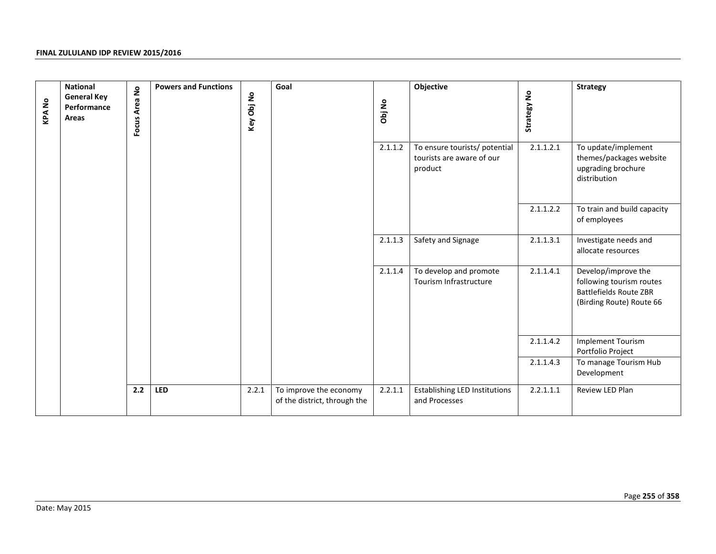| <b>KPANo</b> | <b>National</b><br><b>General Key</b><br>Performance<br>Areas | Focus Area No | <b>Powers and Functions</b> | Key Obj No | Goal                                                   | Obj No  | Objective                                                             | Strategy No | <b>Strategy</b>                                                                                              |
|--------------|---------------------------------------------------------------|---------------|-----------------------------|------------|--------------------------------------------------------|---------|-----------------------------------------------------------------------|-------------|--------------------------------------------------------------------------------------------------------------|
|              |                                                               |               |                             |            |                                                        | 2.1.1.2 | To ensure tourists/ potential<br>tourists are aware of our<br>product | 2.1.1.2.1   | To update/implement<br>themes/packages website<br>upgrading brochure<br>distribution                         |
|              |                                                               |               |                             |            |                                                        |         |                                                                       | 2.1.1.2.2   | To train and build capacity<br>of employees                                                                  |
|              |                                                               |               |                             |            |                                                        | 2.1.1.3 | Safety and Signage                                                    | 2.1.1.3.1   | Investigate needs and<br>allocate resources                                                                  |
|              |                                                               |               |                             |            |                                                        | 2.1.1.4 | To develop and promote<br>Tourism Infrastructure                      | 2.1.1.4.1   | Develop/improve the<br>following tourism routes<br><b>Battlefields Route ZBR</b><br>(Birding Route) Route 66 |
|              |                                                               |               |                             |            |                                                        |         |                                                                       | 2.1.1.4.2   | <b>Implement Tourism</b><br>Portfolio Project                                                                |
|              |                                                               |               |                             |            |                                                        |         |                                                                       | 2.1.1.4.3   | To manage Tourism Hub<br>Development                                                                         |
|              |                                                               | 2.2           | <b>LED</b>                  | 2.2.1      | To improve the economy<br>of the district, through the | 2.2.1.1 | <b>Establishing LED Institutions</b><br>and Processes                 | 2.2.1.1.1   | Review LED Plan                                                                                              |
|              |                                                               |               |                             |            |                                                        |         |                                                                       |             |                                                                                                              |
|              | Date: May 2015                                                |               |                             |            |                                                        |         |                                                                       |             | Page 255 of 358                                                                                              |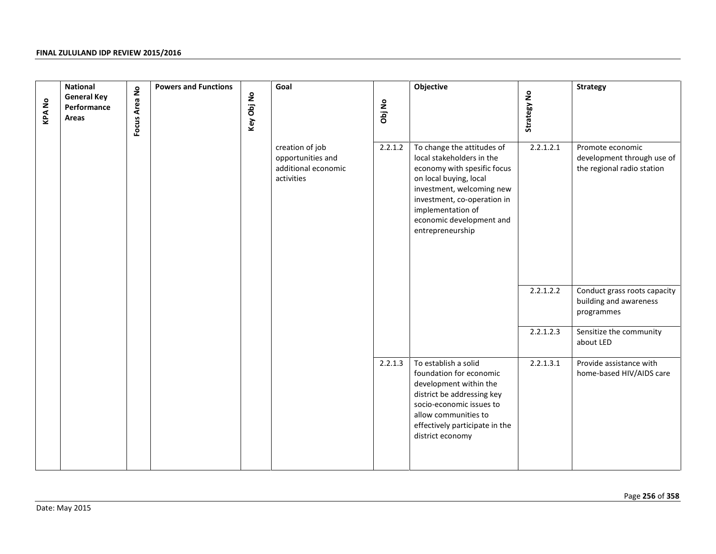|              | <b>National</b>                            |               | <b>Powers and Functions</b> |            | Goal                                                                      |         | Objective                                                                                                                                                                                                                                         |             | <b>Strategy</b>                                                              |
|--------------|--------------------------------------------|---------------|-----------------------------|------------|---------------------------------------------------------------------------|---------|---------------------------------------------------------------------------------------------------------------------------------------------------------------------------------------------------------------------------------------------------|-------------|------------------------------------------------------------------------------|
| <b>KPANo</b> | <b>General Key</b><br>Performance<br>Areas | Focus Area No |                             | Key Obj No |                                                                           | Obj No  |                                                                                                                                                                                                                                                   | Strategy No |                                                                              |
|              |                                            |               |                             |            | creation of job<br>opportunities and<br>additional economic<br>activities | 2.2.1.2 | To change the attitudes of<br>local stakeholders in the<br>economy with spesific focus<br>on local buying, local<br>investment, welcoming new<br>investment, co-operation in<br>implementation of<br>economic development and<br>entrepreneurship | 2.2.1.2.1   | Promote economic<br>development through use of<br>the regional radio station |
|              |                                            |               |                             |            |                                                                           |         |                                                                                                                                                                                                                                                   | 2.2.1.2.2   | Conduct grass roots capacity<br>building and awareness<br>programmes         |
|              |                                            |               |                             |            |                                                                           |         |                                                                                                                                                                                                                                                   | 2.2.1.2.3   | Sensitize the community<br>about LED                                         |
|              |                                            |               |                             |            |                                                                           | 2.2.1.3 | To establish a solid<br>foundation for economic<br>development within the<br>district be addressing key<br>socio-economic issues to<br>allow communities to<br>effectively participate in the<br>district economy                                 | 2.2.1.3.1   | Provide assistance with<br>home-based HIV/AIDS care                          |
|              |                                            |               |                             |            |                                                                           |         |                                                                                                                                                                                                                                                   |             |                                                                              |
|              |                                            |               |                             |            |                                                                           |         |                                                                                                                                                                                                                                                   |             | Page 256 of 358                                                              |
|              | Date: May 2015                             |               |                             |            |                                                                           |         |                                                                                                                                                                                                                                                   |             |                                                                              |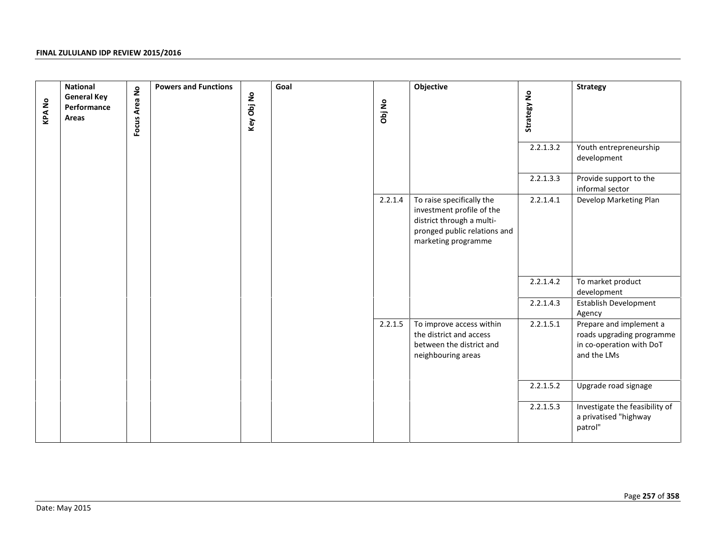| <b>KPANO</b> | <b>National</b><br><b>General Key</b><br>Performance<br>Areas | Focus Area No | <b>Powers and Functions</b><br>Key Obj No | Goal | Obj No  | Objective                                                                                                                                  | Strategy No | <b>Strategy</b>                                                                                 |
|--------------|---------------------------------------------------------------|---------------|-------------------------------------------|------|---------|--------------------------------------------------------------------------------------------------------------------------------------------|-------------|-------------------------------------------------------------------------------------------------|
|              |                                                               |               |                                           |      |         |                                                                                                                                            | 2.2.1.3.2   | Youth entrepreneurship<br>development                                                           |
|              |                                                               |               |                                           |      |         |                                                                                                                                            | 2.2.1.3.3   | Provide support to the<br>informal sector                                                       |
|              |                                                               |               |                                           |      | 2.2.1.4 | To raise specifically the<br>investment profile of the<br>district through a multi-<br>pronged public relations and<br>marketing programme | 2.2.1.4.1   | Develop Marketing Plan                                                                          |
|              |                                                               |               |                                           |      |         |                                                                                                                                            | 2.2.1.4.2   | To market product<br>development                                                                |
|              |                                                               |               |                                           |      |         |                                                                                                                                            | 2.2.1.4.3   | Establish Development<br>Agency                                                                 |
|              |                                                               |               |                                           |      | 2.2.1.5 | To improve access within<br>the district and access<br>between the district and<br>neighbouring areas                                      | 2.2.1.5.1   | Prepare and implement a<br>roads upgrading programme<br>in co-operation with DoT<br>and the LMs |
|              |                                                               |               |                                           |      |         |                                                                                                                                            | 2.2.1.5.2   | Upgrade road signage                                                                            |
|              |                                                               |               |                                           |      |         |                                                                                                                                            | 2.2.1.5.3   | Investigate the feasibility of<br>a privatised "highway<br>patrol"                              |
|              | Date: May 2015                                                |               |                                           |      |         |                                                                                                                                            |             | Page 257 of 358                                                                                 |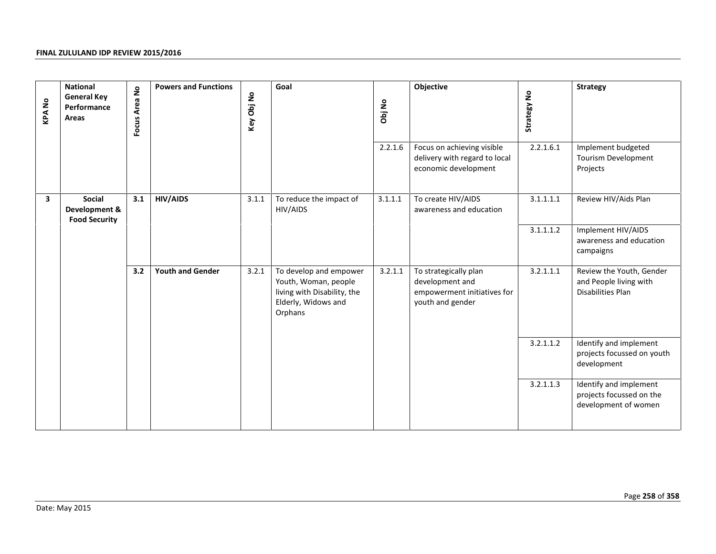| <b>KPANo</b> | <b>National</b><br><b>General Key</b><br>Performance<br>Areas | Focus Area No | <b>Powers and Functions</b> | Key Obj No | Goal                                                                                                            | Obj No  | Objective                                                                                   | Strategy No | <b>Strategy</b>                                                            |
|--------------|---------------------------------------------------------------|---------------|-----------------------------|------------|-----------------------------------------------------------------------------------------------------------------|---------|---------------------------------------------------------------------------------------------|-------------|----------------------------------------------------------------------------|
|              |                                                               |               |                             |            |                                                                                                                 | 2.2.1.6 | Focus on achieving visible<br>delivery with regard to local<br>economic development         | 2.2.1.6.1   | Implement budgeted<br>Tourism Development<br>Projects                      |
| 3            | Social<br>Development &<br><b>Food Security</b>               | 3.1           | <b>HIV/AIDS</b>             | 3.1.1      | To reduce the impact of<br>HIV/AIDS                                                                             | 3.1.1.1 | To create HIV/AIDS<br>awareness and education                                               | 3.1.1.1.1   | Review HIV/Aids Plan                                                       |
|              |                                                               |               |                             |            |                                                                                                                 |         |                                                                                             | 3.1.1.1.2   | Implement HIV/AIDS<br>awareness and education<br>campaigns                 |
|              |                                                               | 3.2           | <b>Youth and Gender</b>     | 3.2.1      | To develop and empower<br>Youth, Woman, people<br>living with Disability, the<br>Elderly, Widows and<br>Orphans | 3.2.1.1 | To strategically plan<br>development and<br>empowerment initiatives for<br>youth and gender | 3.2.1.1.1   | Review the Youth, Gender<br>and People living with<br>Disabilities Plan    |
|              |                                                               |               |                             |            |                                                                                                                 |         |                                                                                             | 3.2.1.1.2   | Identify and implement<br>projects focussed on youth<br>development        |
|              |                                                               |               |                             |            |                                                                                                                 |         |                                                                                             | 3.2.1.1.3   | Identify and implement<br>projects focussed on the<br>development of women |
|              |                                                               |               |                             |            |                                                                                                                 |         |                                                                                             |             |                                                                            |
|              | Date: May 2015                                                |               |                             |            |                                                                                                                 |         |                                                                                             |             | Page 258 of 358                                                            |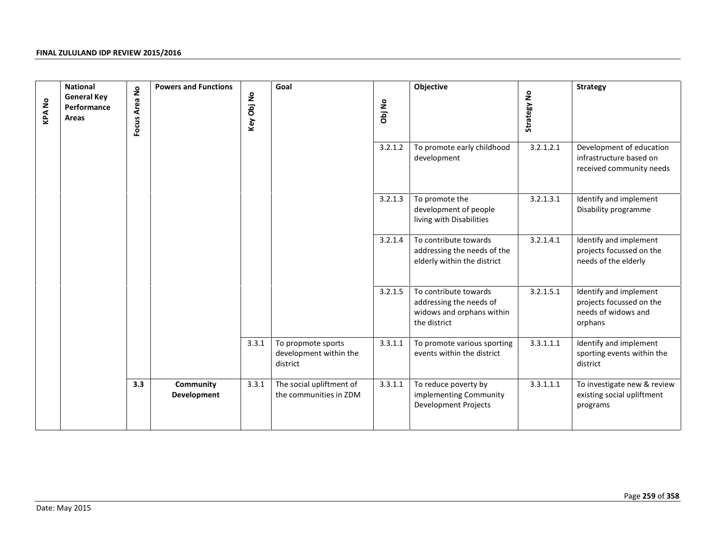| <b>KPANo</b> | <b>National</b><br><b>General Key</b><br>Performance<br>Areas | Focus Area No | <b>Powers and Functions</b> | Key Obj No | Goal                                                     | Obj No  | Objective                                                                                     | Strategy No | <b>Strategy</b>                                                                      |
|--------------|---------------------------------------------------------------|---------------|-----------------------------|------------|----------------------------------------------------------|---------|-----------------------------------------------------------------------------------------------|-------------|--------------------------------------------------------------------------------------|
|              |                                                               |               |                             |            |                                                          | 3.2.1.2 | To promote early childhood<br>development                                                     | 3.2.1.2.1   | Development of education<br>infrastructure based on<br>received community needs      |
|              |                                                               |               |                             |            |                                                          | 3.2.1.3 | To promote the<br>development of people<br>living with Disabilities                           | 3.2.1.3.1   | Identify and implement<br>Disability programme                                       |
|              |                                                               |               |                             |            |                                                          | 3.2.1.4 | To contribute towards<br>addressing the needs of the<br>elderly within the district           | 3.2.1.4.1   | Identify and implement<br>projects focussed on the<br>needs of the elderly           |
|              |                                                               |               |                             |            |                                                          | 3.2.1.5 | To contribute towards<br>addressing the needs of<br>widows and orphans within<br>the district | 3.2.1.5.1   | Identify and implement<br>projects focussed on the<br>needs of widows and<br>orphans |
|              |                                                               |               |                             | 3.3.1      | To propmote sports<br>development within the<br>district | 3.3.1.1 | To promote various sporting<br>events within the district                                     | 3.3.1.1.1   | Identify and implement<br>sporting events within the<br>district                     |
|              |                                                               | 3.3           | Community<br>Development    | 3.3.1      | The social upliftment of<br>the communities in ZDM       | 3.3.1.1 | To reduce poverty by<br>implementing Community<br><b>Development Projects</b>                 | 3.3.1.1.1   | To investigate new & review<br>existing social upliftment<br>programs                |
|              |                                                               |               |                             |            |                                                          |         |                                                                                               |             |                                                                                      |
|              |                                                               |               |                             |            |                                                          |         |                                                                                               |             | Page 259 of 358                                                                      |
|              | Date: May 2015                                                |               |                             |            |                                                          |         |                                                                                               |             |                                                                                      |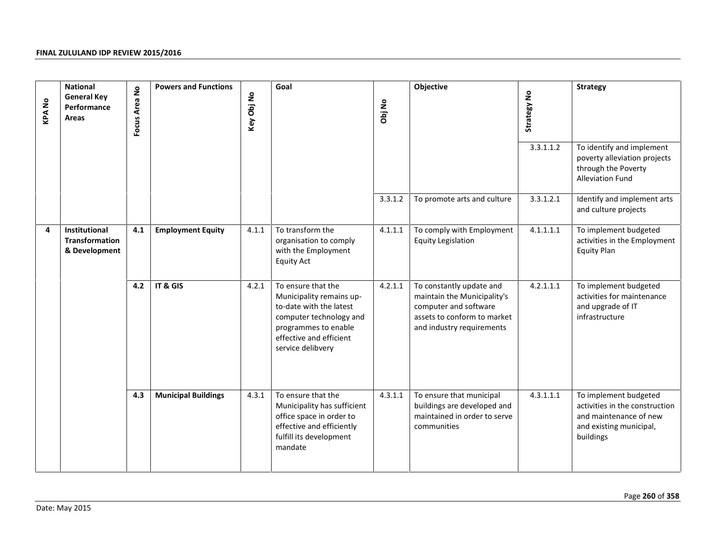| <b>KPANo</b> | <b>National</b><br><b>General Key</b><br>Performance<br>Areas  | $\mathsf{S}$<br>Focus Area | <b>Powers and Functions</b> | Key Obj No | Goal                                                                                                                                                                         | Obj No  | Objective                                                                                                                                    | Strategy No<br>3.3.1.1.2 | <b>Strategy</b><br>To identify and implement                                                                              |
|--------------|----------------------------------------------------------------|----------------------------|-----------------------------|------------|------------------------------------------------------------------------------------------------------------------------------------------------------------------------------|---------|----------------------------------------------------------------------------------------------------------------------------------------------|--------------------------|---------------------------------------------------------------------------------------------------------------------------|
|              |                                                                |                            |                             |            |                                                                                                                                                                              |         |                                                                                                                                              |                          | poverty alleviation projects<br>through the Poverty<br><b>Alleviation Fund</b>                                            |
|              |                                                                |                            |                             |            |                                                                                                                                                                              | 3.3.1.2 | To promote arts and culture                                                                                                                  | 3.3.1.2.1                | Identify and implement arts<br>and culture projects                                                                       |
| 4            | <b>Institutional</b><br><b>Transformation</b><br>& Development | 4.1                        | <b>Employment Equity</b>    | 4.1.1      | To transform the<br>organisation to comply<br>with the Employment<br><b>Equity Act</b>                                                                                       | 4.1.1.1 | To comply with Employment<br><b>Equity Legislation</b>                                                                                       | 4.1.1.1.1                | To implement budgeted<br>activities in the Employment<br><b>Equity Plan</b>                                               |
|              |                                                                | 4.2                        | IT & GIS                    | 4.2.1      | To ensure that the<br>Municipality remains up-<br>to-date with the latest<br>computer technology and<br>programmes to enable<br>effective and efficient<br>service delibvery | 4.2.1.1 | To constantly update and<br>maintain the Municipality's<br>computer and software<br>assets to conform to market<br>and industry requirements | 4.2.1.1.1                | To implement budgeted<br>activities for maintenance<br>and upgrade of IT<br>infrastructure                                |
|              |                                                                | 4.3                        | <b>Municipal Buildings</b>  | 4.3.1      | To ensure that the<br>Municipality has sufficient<br>office space in order to<br>effective and efficiently<br>fulfill its development<br>mandate                             | 4.3.1.1 | To ensure that municipal<br>buildings are developed and<br>maintained in order to serve<br>communities                                       | 4.3.1.1.1                | To implement budgeted<br>activities in the construction<br>and maintenance of new<br>and existing municipal,<br>buildings |
|              | Date: May 2015                                                 |                            |                             |            |                                                                                                                                                                              |         |                                                                                                                                              |                          | Page 260 of 358                                                                                                           |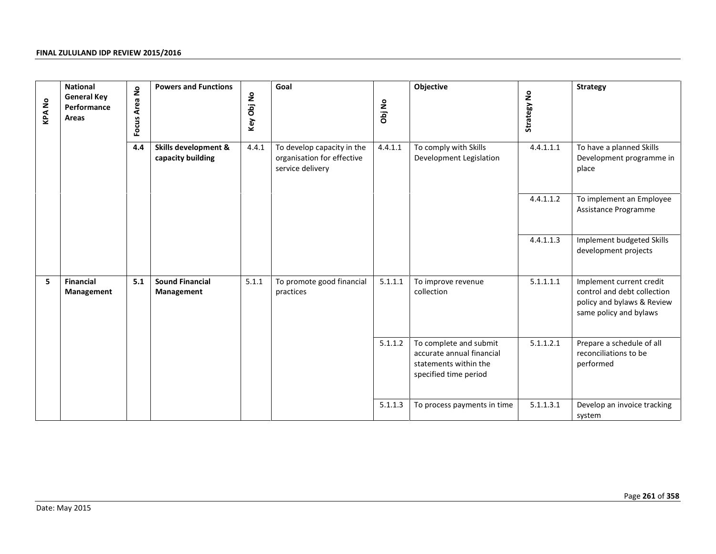| <b>KPANo</b> | <b>National</b><br><b>General Key</b><br>Performance<br>Areas | <b>Powers and Functions</b><br>Focus Area No<br>4.4<br>Skills development &<br>capacity building | Goal<br>Key Obj No                   | Obj No | Objective                                                                    | Strategy No | <b>Strategy</b>                                                                                       |           |                                                                                                                 |
|--------------|---------------------------------------------------------------|--------------------------------------------------------------------------------------------------|--------------------------------------|--------|------------------------------------------------------------------------------|-------------|-------------------------------------------------------------------------------------------------------|-----------|-----------------------------------------------------------------------------------------------------------------|
|              |                                                               |                                                                                                  |                                      | 4.4.1  | To develop capacity in the<br>organisation for effective<br>service delivery | 4.4.1.1     | To comply with Skills<br>Development Legislation                                                      | 4.4.1.1.1 | To have a planned Skills<br>Development programme in<br>place                                                   |
|              |                                                               |                                                                                                  |                                      |        |                                                                              |             |                                                                                                       | 4.4.1.1.2 | To implement an Employee<br>Assistance Programme                                                                |
|              |                                                               |                                                                                                  |                                      |        |                                                                              |             |                                                                                                       | 4.4.1.1.3 | Implement budgeted Skills<br>development projects                                                               |
| 5            | <b>Financial</b><br>Management                                | 5.1                                                                                              | <b>Sound Financial</b><br>Management | 5.1.1  | To promote good financial<br>practices                                       | 5.1.1.1     | To improve revenue<br>collection                                                                      | 5.1.1.1.1 | Implement current credit<br>control and debt collection<br>policy and bylaws & Review<br>same policy and bylaws |
|              |                                                               |                                                                                                  |                                      |        |                                                                              | 5.1.1.2     | To complete and submit<br>accurate annual financial<br>statements within the<br>specified time period | 5.1.1.2.1 | Prepare a schedule of all<br>reconciliations to be<br>performed                                                 |
|              |                                                               |                                                                                                  |                                      |        |                                                                              | 5.1.1.3     | To process payments in time                                                                           | 5.1.1.3.1 | Develop an invoice tracking<br>system                                                                           |
|              |                                                               |                                                                                                  |                                      |        |                                                                              |             |                                                                                                       |           | Page 261 of 358                                                                                                 |
|              | Date: May 2015                                                |                                                                                                  |                                      |        |                                                                              |             |                                                                                                       |           |                                                                                                                 |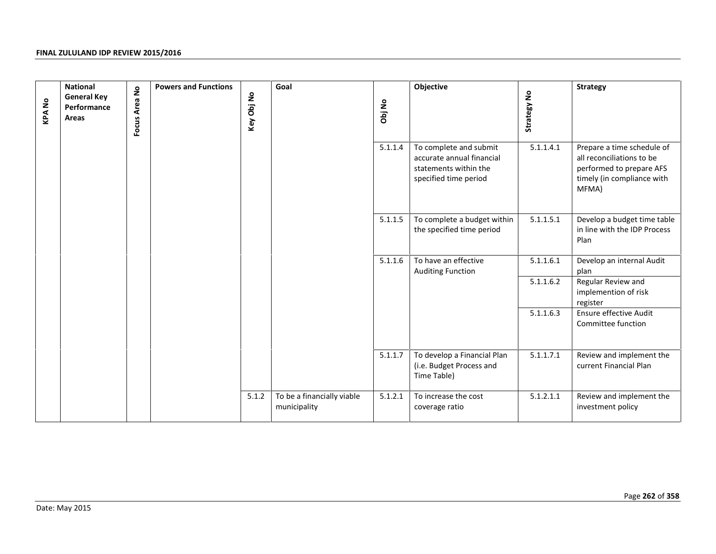| <b>KPANo</b> | <b>National</b><br><b>General Key</b><br>Performance<br>Areas | Focus Area No | <b>Powers and Functions</b> | Key Obj No | Goal                                       | Obj No  | Objective                                                                                             | Strategy No | <b>Strategy</b>                                                                                                            |
|--------------|---------------------------------------------------------------|---------------|-----------------------------|------------|--------------------------------------------|---------|-------------------------------------------------------------------------------------------------------|-------------|----------------------------------------------------------------------------------------------------------------------------|
|              |                                                               |               |                             |            |                                            | 5.1.1.4 | To complete and submit<br>accurate annual financial<br>statements within the<br>specified time period | 5.1.1.4.1   | Prepare a time schedule of<br>all reconciliations to be<br>performed to prepare AFS<br>timely (in compliance with<br>MFMA) |
|              |                                                               |               |                             |            |                                            | 5.1.1.5 | To complete a budget within<br>the specified time period                                              | 5.1.1.5.1   | Develop a budget time table<br>in line with the IDP Process<br>Plan                                                        |
|              |                                                               |               |                             |            |                                            | 5.1.1.6 | To have an effective<br><b>Auditing Function</b>                                                      | 5.1.1.6.1   | Develop an internal Audit<br>plan                                                                                          |
|              |                                                               |               |                             |            |                                            |         |                                                                                                       | 5.1.1.6.2   | Regular Review and<br>implemention of risk<br>register                                                                     |
|              |                                                               |               |                             |            |                                            |         |                                                                                                       | 5.1.1.6.3   | Ensure effective Audit<br>Committee function                                                                               |
|              |                                                               |               |                             |            |                                            | 5.1.1.7 | To develop a Financial Plan<br>(i.e. Budget Process and<br>Time Table)                                | 5.1.1.7.1   | Review and implement the<br>current Financial Plan                                                                         |
|              |                                                               |               |                             | 5.1.2      | To be a financially viable<br>municipality | 5.1.2.1 | To increase the cost<br>coverage ratio                                                                | 5.1.2.1.1   | Review and implement the<br>investment policy                                                                              |
|              |                                                               |               |                             |            |                                            |         |                                                                                                       |             |                                                                                                                            |
|              | Date: May 2015                                                |               |                             |            |                                            |         |                                                                                                       |             | Page 262 of 358                                                                                                            |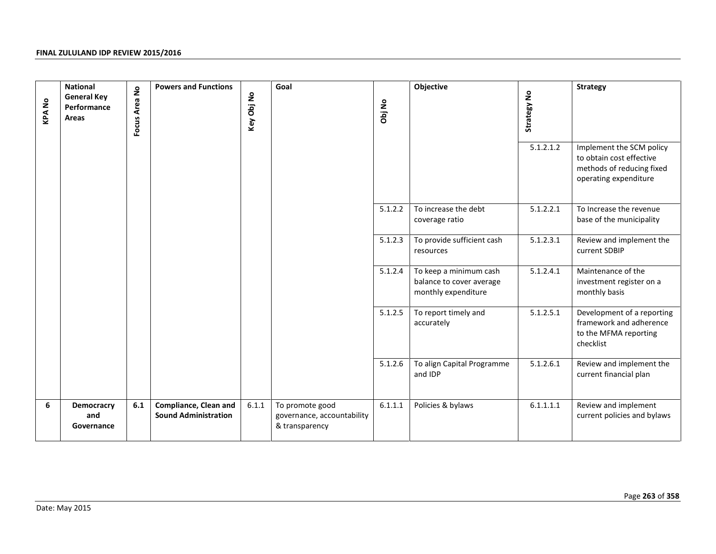| <b>KPANo</b> | <b>National</b><br><b>General Key</b><br>Performance<br>Areas | Focus Area No | <b>Powers and Functions</b>                                 | Key Obj No | Goal                                                            | Obj No  | Objective                                                                 | Strategy No<br>5.1.2.1.2 | Strategy<br>Implement the SCM policy<br>to obtain cost effective<br>methods of reducing fixed<br>operating expenditure |
|--------------|---------------------------------------------------------------|---------------|-------------------------------------------------------------|------------|-----------------------------------------------------------------|---------|---------------------------------------------------------------------------|--------------------------|------------------------------------------------------------------------------------------------------------------------|
|              |                                                               |               |                                                             |            |                                                                 | 5.1.2.2 | To increase the debt<br>coverage ratio                                    | 5.1.2.2.1                | To Increase the revenue<br>base of the municipality                                                                    |
|              |                                                               |               |                                                             |            |                                                                 | 5.1.2.3 | To provide sufficient cash<br>resources                                   | 5.1.2.3.1                | Review and implement the<br>current SDBIP                                                                              |
|              |                                                               |               |                                                             |            |                                                                 | 5.1.2.4 | To keep a minimum cash<br>balance to cover average<br>monthly expenditure | 5.1.2.4.1                | Maintenance of the<br>investment register on a<br>monthly basis                                                        |
|              |                                                               |               |                                                             |            |                                                                 | 5.1.2.5 | To report timely and<br>accurately                                        | 5.1.2.5.1                | Development of a reporting<br>framework and adherence<br>to the MFMA reporting<br>checklist                            |
|              |                                                               |               |                                                             |            |                                                                 | 5.1.2.6 | To align Capital Programme<br>and IDP                                     | 5.1.2.6.1                | Review and implement the<br>current financial plan                                                                     |
| 6            | <b>Democracry</b><br>and<br>Governance                        | 6.1           | <b>Compliance, Clean and</b><br><b>Sound Administration</b> | 6.1.1      | To promote good<br>governance, accountability<br>& transparency | 6.1.1.1 | Policies & bylaws                                                         | 6.1.1.1.1                | Review and implement<br>current policies and bylaws                                                                    |
|              | Date: May 2015                                                |               |                                                             |            |                                                                 |         |                                                                           |                          | Page 263 of 358                                                                                                        |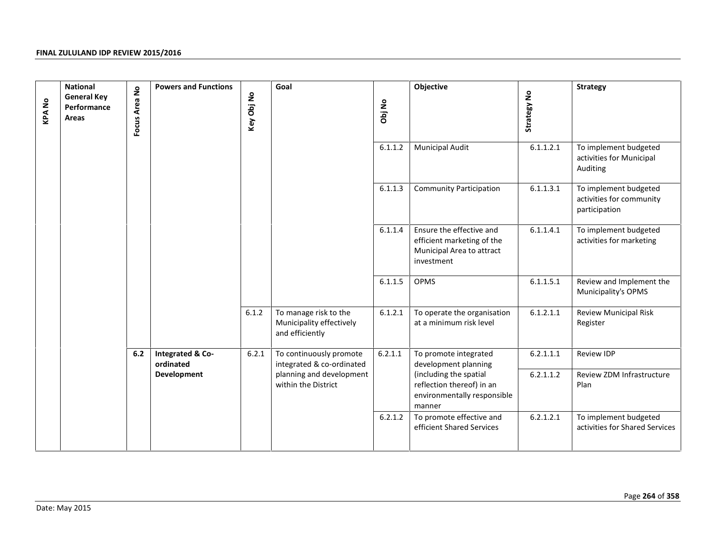| <b>KPANo</b> | <b>National</b><br><b>General Key</b><br>Performance<br>Areas | Focus Area No | <b>Powers and Functions</b>   | Key Obj No | Goal                                                                 | Obj No  | Objective                                                                                         | Strategy No | <b>Strategy</b>                                                    |
|--------------|---------------------------------------------------------------|---------------|-------------------------------|------------|----------------------------------------------------------------------|---------|---------------------------------------------------------------------------------------------------|-------------|--------------------------------------------------------------------|
|              |                                                               |               |                               |            |                                                                      | 6.1.1.2 | <b>Municipal Audit</b>                                                                            | 6.1.1.2.1   | To implement budgeted<br>activities for Municipal<br>Auditing      |
|              |                                                               |               |                               |            |                                                                      | 6.1.1.3 | <b>Community Participation</b>                                                                    | 6.1.1.3.1   | To implement budgeted<br>activities for community<br>participation |
|              |                                                               |               |                               |            |                                                                      | 6.1.1.4 | Ensure the effective and<br>efficient marketing of the<br>Municipal Area to attract<br>investment | 6.1.1.4.1   | To implement budgeted<br>activities for marketing                  |
|              |                                                               |               |                               |            |                                                                      | 6.1.1.5 | OPMS                                                                                              | 6.1.1.5.1   | Review and Implement the<br>Municipality's OPMS                    |
|              |                                                               |               |                               | 6.1.2      | To manage risk to the<br>Municipality effectively<br>and efficiently | 6.1.2.1 | To operate the organisation<br>at a minimum risk level                                            | 6.1.2.1.1   | <b>Review Municipal Risk</b><br>Register                           |
|              |                                                               | 6.2           | Integrated & Co-<br>ordinated | 6.2.1      | To continuously promote<br>integrated & co-ordinated                 | 6.2.1.1 | To promote integrated<br>development planning                                                     | 6.2.1.1.1   | Review IDP                                                         |
|              |                                                               |               | Development                   |            | planning and development<br>within the District                      |         | (including the spatial<br>reflection thereof) in an<br>environmentally responsible<br>manner      | 6.2.1.1.2   | Review ZDM Infrastructure<br>Plan                                  |
|              |                                                               |               |                               |            |                                                                      | 6.2.1.2 | To promote effective and<br>efficient Shared Services                                             | 6.2.1.2.1   | To implement budgeted<br>activities for Shared Services            |
|              |                                                               |               |                               |            |                                                                      |         |                                                                                                   |             | Page 264 of 358                                                    |
|              | Date: May 2015                                                |               |                               |            |                                                                      |         |                                                                                                   |             |                                                                    |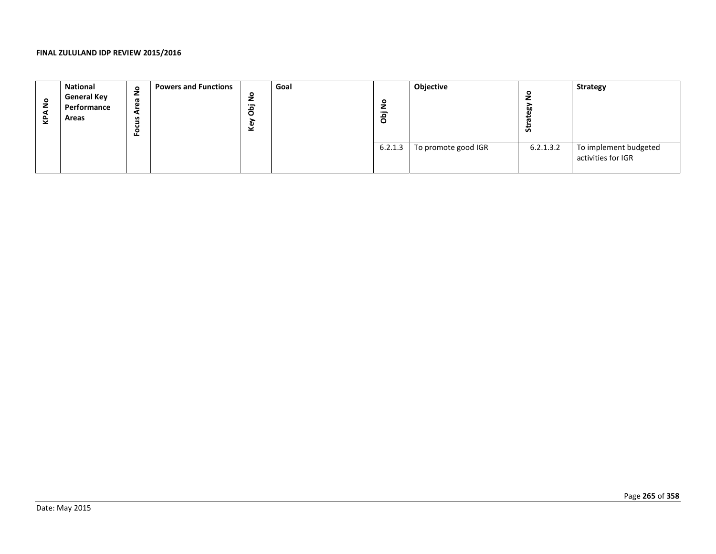| <b>KPANo</b> | <b>National</b><br><b>General Key</b><br>Performance<br>Areas | Focus Area No | <b>Powers and Functions</b> | Key Obj No | Goal | Obj No  | Objective           | Strategy No | Strategy                                    |
|--------------|---------------------------------------------------------------|---------------|-----------------------------|------------|------|---------|---------------------|-------------|---------------------------------------------|
|              |                                                               |               |                             |            |      | 6.2.1.3 | To promote good IGR | 6.2.1.3.2   | To implement budgeted<br>activities for IGR |
|              |                                                               |               |                             |            |      |         |                     |             |                                             |
|              |                                                               |               |                             |            |      |         |                     |             |                                             |
|              |                                                               |               |                             |            |      |         |                     |             |                                             |
|              |                                                               |               |                             |            |      |         |                     |             |                                             |
|              |                                                               |               |                             |            |      |         |                     |             |                                             |
|              |                                                               |               |                             |            |      |         |                     |             |                                             |
|              |                                                               |               |                             |            |      |         |                     |             |                                             |
|              |                                                               |               |                             |            |      |         |                     |             |                                             |
|              |                                                               |               |                             |            |      |         |                     |             |                                             |
|              |                                                               |               |                             |            |      |         |                     |             | Page 265 of 358                             |
|              | Date: May 2015                                                |               |                             |            |      |         |                     |             |                                             |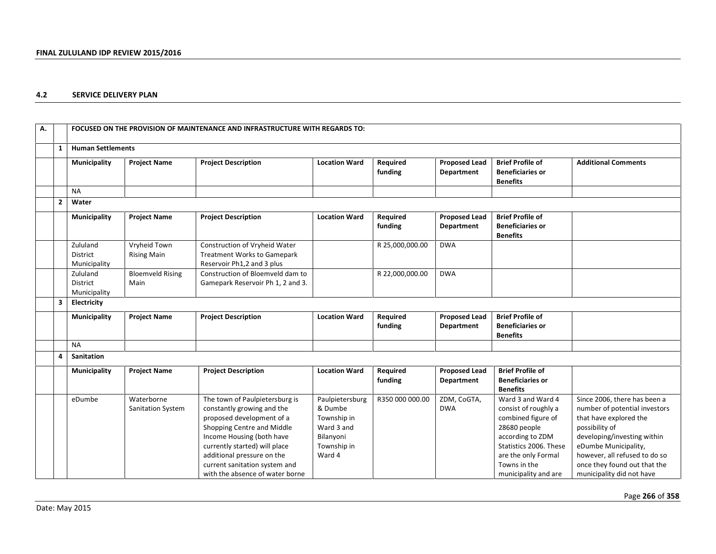### **4.2 SERVICE DELIVERY PLAN**

| А. |                |                                             |                                    | FOCUSED ON THE PROVISION OF MAINTENANCE AND INFRASTRUCTURE WITH REGARDS TO:                                                                                                                                                                                                             |                                                                                               |                     |                                           |                                                                                                                                                                                              |                                                                                                                                                                                                                                                                |
|----|----------------|---------------------------------------------|------------------------------------|-----------------------------------------------------------------------------------------------------------------------------------------------------------------------------------------------------------------------------------------------------------------------------------------|-----------------------------------------------------------------------------------------------|---------------------|-------------------------------------------|----------------------------------------------------------------------------------------------------------------------------------------------------------------------------------------------|----------------------------------------------------------------------------------------------------------------------------------------------------------------------------------------------------------------------------------------------------------------|
|    | 1              | <b>Human Settlements</b>                    |                                    |                                                                                                                                                                                                                                                                                         |                                                                                               |                     |                                           |                                                                                                                                                                                              |                                                                                                                                                                                                                                                                |
|    |                | Municipality                                | <b>Project Name</b>                | <b>Project Description</b>                                                                                                                                                                                                                                                              | <b>Location Ward</b>                                                                          | Required<br>funding | <b>Proposed Lead</b><br>Department        | <b>Brief Profile of</b><br><b>Beneficiaries or</b><br><b>Benefits</b>                                                                                                                        | <b>Additional Comments</b>                                                                                                                                                                                                                                     |
|    |                | <b>NA</b>                                   |                                    |                                                                                                                                                                                                                                                                                         |                                                                                               |                     |                                           |                                                                                                                                                                                              |                                                                                                                                                                                                                                                                |
|    | $\overline{2}$ | Water                                       |                                    |                                                                                                                                                                                                                                                                                         |                                                                                               |                     |                                           |                                                                                                                                                                                              |                                                                                                                                                                                                                                                                |
|    |                | Municipality                                | <b>Project Name</b>                | <b>Project Description</b>                                                                                                                                                                                                                                                              | <b>Location Ward</b>                                                                          | Required<br>funding | <b>Proposed Lead</b><br>Department        | <b>Brief Profile of</b><br><b>Beneficiaries or</b><br><b>Benefits</b>                                                                                                                        |                                                                                                                                                                                                                                                                |
|    |                | Zululand<br><b>District</b><br>Municipality | Vryheid Town<br><b>Rising Main</b> | Construction of Vryheid Water<br><b>Treatment Works to Gamepark</b><br>Reservoir Ph1,2 and 3 plus                                                                                                                                                                                       |                                                                                               | R 25,000,000.00     | <b>DWA</b>                                |                                                                                                                                                                                              |                                                                                                                                                                                                                                                                |
|    |                | Zululand<br>District<br>Municipality        | <b>Bloemveld Rising</b><br>Main    | Construction of Bloemveld dam to<br>Gamepark Reservoir Ph 1, 2 and 3.                                                                                                                                                                                                                   |                                                                                               | R 22,000,000.00     | <b>DWA</b>                                |                                                                                                                                                                                              |                                                                                                                                                                                                                                                                |
|    | 3              | Electricity                                 |                                    |                                                                                                                                                                                                                                                                                         |                                                                                               |                     |                                           |                                                                                                                                                                                              |                                                                                                                                                                                                                                                                |
|    |                | Municipality                                | <b>Project Name</b>                | <b>Project Description</b>                                                                                                                                                                                                                                                              | <b>Location Ward</b>                                                                          | Required<br>funding | <b>Proposed Lead</b><br><b>Department</b> | <b>Brief Profile of</b><br><b>Beneficiaries or</b><br><b>Benefits</b>                                                                                                                        |                                                                                                                                                                                                                                                                |
|    |                | <b>NA</b>                                   |                                    |                                                                                                                                                                                                                                                                                         |                                                                                               |                     |                                           |                                                                                                                                                                                              |                                                                                                                                                                                                                                                                |
|    | 4              | Sanitation                                  |                                    |                                                                                                                                                                                                                                                                                         |                                                                                               |                     |                                           |                                                                                                                                                                                              |                                                                                                                                                                                                                                                                |
|    |                | Municipality                                | <b>Project Name</b>                | <b>Project Description</b>                                                                                                                                                                                                                                                              | <b>Location Ward</b>                                                                          | Required<br>funding | <b>Proposed Lead</b><br>Department        | <b>Brief Profile of</b><br><b>Beneficiaries or</b><br><b>Benefits</b>                                                                                                                        |                                                                                                                                                                                                                                                                |
|    |                | eDumbe                                      | Waterborne<br>Sanitation System    | The town of Paulpietersburg is<br>constantly growing and the<br>proposed development of a<br>Shopping Centre and Middle<br>Income Housing (both have<br>currently started) will place<br>additional pressure on the<br>current sanitation system and<br>with the absence of water borne | Paulpietersburg<br>& Dumbe<br>Township in<br>Ward 3 and<br>Bilanyoni<br>Township in<br>Ward 4 | R350 000 000.00     | ZDM, CoGTA,<br><b>DWA</b>                 | Ward 3 and Ward 4<br>consist of roughly a<br>combined figure of<br>28680 people<br>according to ZDM<br>Statistics 2006. These<br>are the only Formal<br>Towns in the<br>municipality and are | Since 2006, there has been a<br>number of potential investors<br>that have explored the<br>possibility of<br>developing/investing within<br>eDumbe Municipality,<br>however, all refused to do so<br>once they found out that the<br>municipality did not have |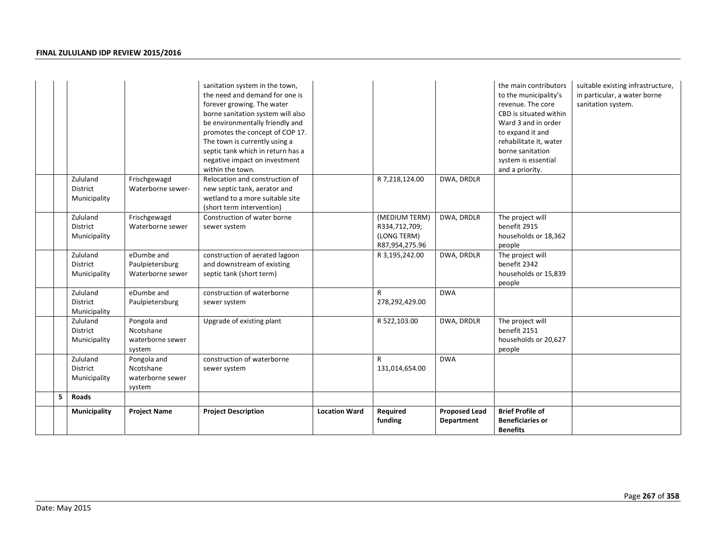|   |                                             |                                                        | sanitation system in the town,<br>the need and demand for one is<br>forever growing. The water<br>borne sanitation system will also<br>be environmentally friendly and<br>promotes the concept of COP 17.<br>The town is currently using a<br>septic tank which in return has a<br>negative impact on investment<br>within the town. |                      |                                                                 |                                    | the main contributors<br>to the municipality's<br>revenue. The core<br>CBD is situated within<br>Ward 3 and in order<br>to expand it and<br>rehabilitate it, water<br>borne sanitation<br>system is essential<br>and a priority. | suitable existing infrastructure,<br>in particular, a water borne<br>sanitation system. |
|---|---------------------------------------------|--------------------------------------------------------|--------------------------------------------------------------------------------------------------------------------------------------------------------------------------------------------------------------------------------------------------------------------------------------------------------------------------------------|----------------------|-----------------------------------------------------------------|------------------------------------|----------------------------------------------------------------------------------------------------------------------------------------------------------------------------------------------------------------------------------|-----------------------------------------------------------------------------------------|
|   | Zululand<br><b>District</b><br>Municipality | Frischgewagd<br>Waterborne sewer-                      | Relocation and construction of<br>new septic tank, aerator and<br>wetland to a more suitable site<br>(short term intervention)                                                                                                                                                                                                       |                      | R 7,218,124.00                                                  | DWA, DRDLR                         |                                                                                                                                                                                                                                  |                                                                                         |
|   | Zululand<br>District<br>Municipality        | Frischgewagd<br>Waterborne sewer                       | Construction of water borne<br>sewer system                                                                                                                                                                                                                                                                                          |                      | (MEDIUM TERM)<br>R334,712,709;<br>(LONG TERM)<br>R87,954,275.96 | DWA, DRDLR                         | The project will<br>benefit 2915<br>households or 18,362<br>people                                                                                                                                                               |                                                                                         |
|   | Zululand<br><b>District</b><br>Municipality | eDumbe and<br>Paulpietersburg<br>Waterborne sewer      | construction of aerated lagoon<br>and downstream of existing<br>septic tank (short term)                                                                                                                                                                                                                                             |                      | R 3,195,242.00                                                  | DWA, DRDLR                         | The project will<br>benefit 2342<br>households or 15,839<br>people                                                                                                                                                               |                                                                                         |
|   | Zululand<br>District<br>Municipality        | eDumbe and<br>Paulpietersburg                          | construction of waterborne<br>sewer system                                                                                                                                                                                                                                                                                           |                      | R<br>278,292,429.00                                             | <b>DWA</b>                         |                                                                                                                                                                                                                                  |                                                                                         |
|   | Zululand<br>District<br>Municipality        | Pongola and<br>Ncotshane<br>waterborne sewer<br>system | Upgrade of existing plant                                                                                                                                                                                                                                                                                                            |                      | R 522,103.00                                                    | DWA, DRDLR                         | The project will<br>benefit 2151<br>households or 20,627<br>people                                                                                                                                                               |                                                                                         |
|   | Zululand<br>District<br>Municipality        | Pongola and<br>Ncotshane<br>waterborne sewer<br>system | construction of waterborne<br>sewer system                                                                                                                                                                                                                                                                                           |                      | $\mathsf{R}$<br>131,014,654.00                                  | <b>DWA</b>                         |                                                                                                                                                                                                                                  |                                                                                         |
| 5 | <b>Roads</b>                                |                                                        |                                                                                                                                                                                                                                                                                                                                      |                      |                                                                 |                                    |                                                                                                                                                                                                                                  |                                                                                         |
|   | Municipality                                | <b>Project Name</b>                                    | <b>Project Description</b>                                                                                                                                                                                                                                                                                                           | <b>Location Ward</b> | Required<br>funding                                             | <b>Proposed Lead</b><br>Department | <b>Brief Profile of</b><br><b>Beneficiaries or</b><br><b>Benefits</b>                                                                                                                                                            |                                                                                         |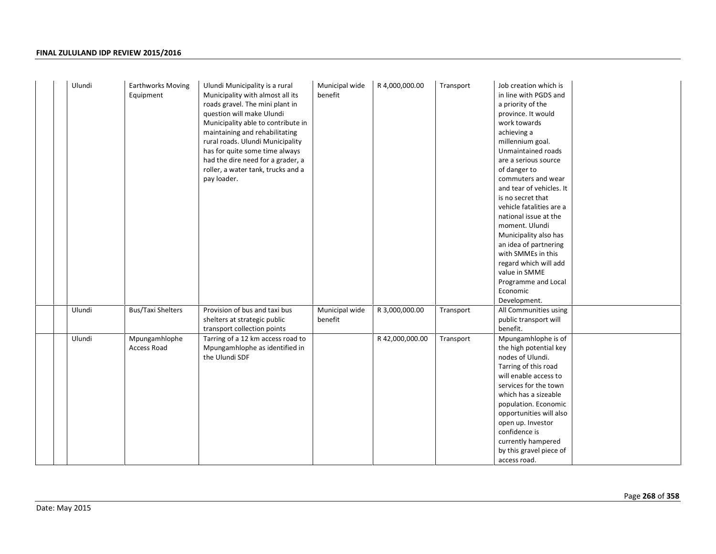| Ulundi | <b>Earthworks Moving</b>            | Ulundi Municipality is a rural     | Municipal wide | R 4,000,000.00  | Transport | Job creation which is    |
|--------|-------------------------------------|------------------------------------|----------------|-----------------|-----------|--------------------------|
|        | Equipment                           | Municipality with almost all its   | benefit        |                 |           | in line with PGDS and    |
|        |                                     | roads gravel. The mini plant in    |                |                 |           | a priority of the        |
|        |                                     | question will make Ulundi          |                |                 |           | province. It would       |
|        |                                     | Municipality able to contribute in |                |                 |           | work towards             |
|        |                                     | maintaining and rehabilitating     |                |                 |           | achieving a              |
|        |                                     | rural roads. Ulundi Municipality   |                |                 |           | millennium goal.         |
|        |                                     | has for quite some time always     |                |                 |           | Unmaintained roads       |
|        |                                     | had the dire need for a grader, a  |                |                 |           | are a serious source     |
|        |                                     | roller, a water tank, trucks and a |                |                 |           | of danger to             |
|        |                                     | pay loader.                        |                |                 |           | commuters and wear       |
|        |                                     |                                    |                |                 |           | and tear of vehicles. It |
|        |                                     |                                    |                |                 |           | is no secret that        |
|        |                                     |                                    |                |                 |           | vehicle fatalities are a |
|        |                                     |                                    |                |                 |           | national issue at the    |
|        |                                     |                                    |                |                 |           | moment. Ulundi           |
|        |                                     |                                    |                |                 |           | Municipality also has    |
|        |                                     |                                    |                |                 |           | an idea of partnering    |
|        |                                     |                                    |                |                 |           | with SMMEs in this       |
|        |                                     |                                    |                |                 |           | regard which will add    |
|        |                                     |                                    |                |                 |           | value in SMME            |
|        |                                     |                                    |                |                 |           | Programme and Local      |
|        |                                     |                                    |                |                 |           | Economic                 |
|        |                                     |                                    |                |                 |           | Development.             |
| Ulundi | <b>Bus/Taxi Shelters</b>            | Provision of bus and taxi bus      | Municipal wide | R 3,000,000.00  | Transport | All Communities using    |
|        |                                     | shelters at strategic public       | benefit        |                 |           | public transport will    |
|        |                                     | transport collection points        |                |                 |           | benefit.                 |
| Ulundi |                                     |                                    |                |                 |           |                          |
|        | Mpungamhlophe<br><b>Access Road</b> | Tarring of a 12 km access road to  |                | R 42,000,000.00 | Transport | Mpungamhlophe is of      |
|        |                                     | Mpungamhlophe as identified in     |                |                 |           | the high potential key   |
|        |                                     | the Ulundi SDF                     |                |                 |           | nodes of Ulundi.         |
|        |                                     |                                    |                |                 |           | Tarring of this road     |
|        |                                     |                                    |                |                 |           | will enable access to    |
|        |                                     |                                    |                |                 |           | services for the town    |
|        |                                     |                                    |                |                 |           | which has a sizeable     |
|        |                                     |                                    |                |                 |           | population. Economic     |
|        |                                     |                                    |                |                 |           | opportunities will also  |
|        |                                     |                                    |                |                 |           | open up. Investor        |
|        |                                     |                                    |                |                 |           | confidence is            |
|        |                                     |                                    |                |                 |           | currently hampered       |
|        |                                     |                                    |                |                 |           | by this gravel piece of  |
|        |                                     |                                    |                |                 |           | access road.             |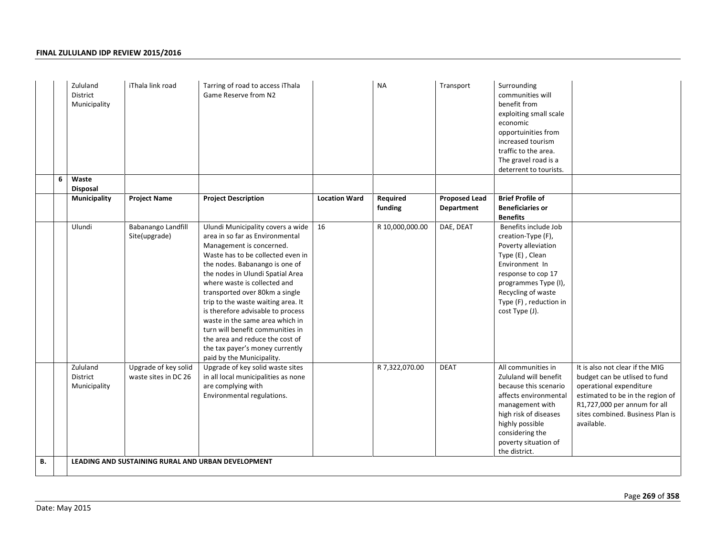|    | Zululand<br>District          | Municipality | iThala link road                             | Tarring of road to access iThala<br>Game Reserve from N2                                                                                                                                                                                                                                                                                                                                                                                                                                                                           |                      | <b>NA</b>           | Transport                          | Surrounding<br>communities will<br>benefit from<br>exploiting small scale<br>economic<br>opportuinities from<br>increased tourism<br>traffic to the area.<br>The gravel road is a<br>deterrent to tourists.              |                                                                                                                                                                                                                   |
|----|-------------------------------|--------------|----------------------------------------------|------------------------------------------------------------------------------------------------------------------------------------------------------------------------------------------------------------------------------------------------------------------------------------------------------------------------------------------------------------------------------------------------------------------------------------------------------------------------------------------------------------------------------------|----------------------|---------------------|------------------------------------|--------------------------------------------------------------------------------------------------------------------------------------------------------------------------------------------------------------------------|-------------------------------------------------------------------------------------------------------------------------------------------------------------------------------------------------------------------|
|    | Waste<br>6<br><b>Disposal</b> |              |                                              |                                                                                                                                                                                                                                                                                                                                                                                                                                                                                                                                    |                      |                     |                                    |                                                                                                                                                                                                                          |                                                                                                                                                                                                                   |
|    |                               | Municipality | <b>Project Name</b>                          | <b>Project Description</b>                                                                                                                                                                                                                                                                                                                                                                                                                                                                                                         | <b>Location Ward</b> | Required<br>funding | <b>Proposed Lead</b><br>Department | <b>Brief Profile of</b><br><b>Beneficiaries or</b><br><b>Benefits</b>                                                                                                                                                    |                                                                                                                                                                                                                   |
|    | Ulundi                        |              | <b>Babanango Landfill</b><br>Site(upgrade)   | Ulundi Municipality covers a wide<br>area in so far as Environmental<br>Management is concerned.<br>Waste has to be collected even in<br>the nodes. Babanango is one of<br>the nodes in Ulundi Spatial Area<br>where waste is collected and<br>transported over 80km a single<br>trip to the waste waiting area. It<br>is therefore advisable to process<br>waste in the same area which in<br>turn will benefit communities in<br>the area and reduce the cost of<br>the tax payer's money currently<br>paid by the Municipality. | 16                   | R 10,000,000.00     | DAE, DEAT                          | Benefits include Job<br>creation-Type (F),<br>Poverty alleviation<br>Type (E), Clean<br>Environment In<br>response to cop 17<br>programmes Type (I),<br>Recycling of waste<br>Type (F), reduction in<br>cost Type (J).   |                                                                                                                                                                                                                   |
|    | Zululand<br>District          | Municipality | Upgrade of key solid<br>waste sites in DC 26 | Upgrade of key solid waste sites<br>in all local municipalities as none<br>are complying with<br>Environmental regulations.                                                                                                                                                                                                                                                                                                                                                                                                        |                      | R 7,322,070.00      | <b>DEAT</b>                        | All communities in<br>Zululand will benefit<br>because this scenario<br>affects environmental<br>management with<br>high risk of diseases<br>highly possible<br>considering the<br>poverty situation of<br>the district. | It is also not clear if the MIG<br>budget can be utlised to fund<br>operational expenditure<br>estimated to be in the region of<br>R1,727,000 per annum for all<br>sites combined. Business Plan is<br>available. |
| В. |                               |              |                                              | LEADING AND SUSTAINING RURAL AND URBAN DEVELOPMENT                                                                                                                                                                                                                                                                                                                                                                                                                                                                                 |                      |                     |                                    |                                                                                                                                                                                                                          |                                                                                                                                                                                                                   |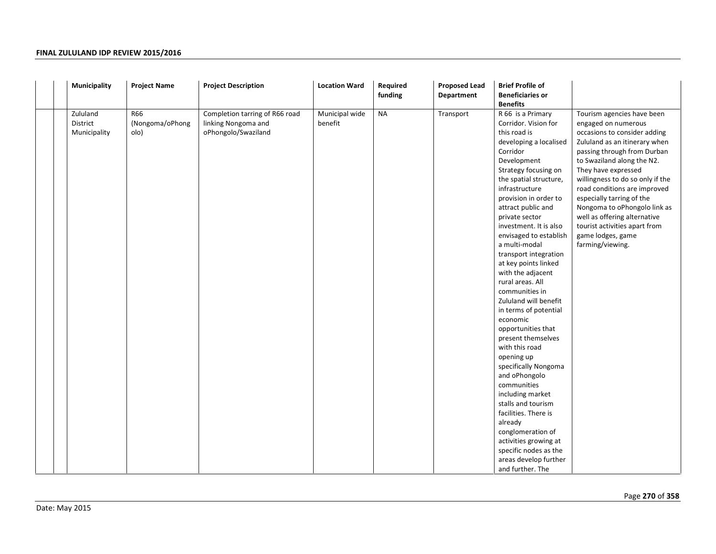| Municipality                         | <b>Project Name</b>            | <b>Project Description</b>                                                   | <b>Location Ward</b>      | Required<br>funding | <b>Proposed Lead</b><br>Department | <b>Brief Profile of</b><br><b>Beneficiaries or</b><br><b>Benefits</b>                                                                                                                                                                                                                                                                                                                                                                                                                                                                                                                                                                                                                                                                                                                                                                   |                                                                                                                                                                                                                                                                                                                                                                                                                                                   |
|--------------------------------------|--------------------------------|------------------------------------------------------------------------------|---------------------------|---------------------|------------------------------------|-----------------------------------------------------------------------------------------------------------------------------------------------------------------------------------------------------------------------------------------------------------------------------------------------------------------------------------------------------------------------------------------------------------------------------------------------------------------------------------------------------------------------------------------------------------------------------------------------------------------------------------------------------------------------------------------------------------------------------------------------------------------------------------------------------------------------------------------|---------------------------------------------------------------------------------------------------------------------------------------------------------------------------------------------------------------------------------------------------------------------------------------------------------------------------------------------------------------------------------------------------------------------------------------------------|
| Zululand<br>District<br>Municipality | R66<br>(Nongoma/oPhong<br>olo) | Completion tarring of R66 road<br>linking Nongoma and<br>oPhongolo/Swaziland | Municipal wide<br>benefit | <b>NA</b>           | Transport                          | R 66 is a Primary<br>Corridor. Vision for<br>this road is<br>developing a localised<br>Corridor<br>Development<br>Strategy focusing on<br>the spatial structure,<br>infrastructure<br>provision in order to<br>attract public and<br>private sector<br>investment. It is also<br>envisaged to establish<br>a multi-modal<br>transport integration<br>at key points linked<br>with the adjacent<br>rural areas. All<br>communities in<br>Zululand will benefit<br>in terms of potential<br>economic<br>opportunities that<br>present themselves<br>with this road<br>opening up<br>specifically Nongoma<br>and oPhongolo<br>communities<br>including market<br>stalls and tourism<br>facilities. There is<br>already<br>conglomeration of<br>activities growing at<br>specific nodes as the<br>areas develop further<br>and further. The | Tourism agencies have been<br>engaged on numerous<br>occasions to consider adding<br>Zululand as an itinerary when<br>passing through from Durban<br>to Swaziland along the N2.<br>They have expressed<br>willingness to do so only if the<br>road conditions are improved<br>especially tarring of the<br>Nongoma to oPhongolo link as<br>well as offering alternative<br>tourist activities apart from<br>game lodges, game<br>farming/viewing. |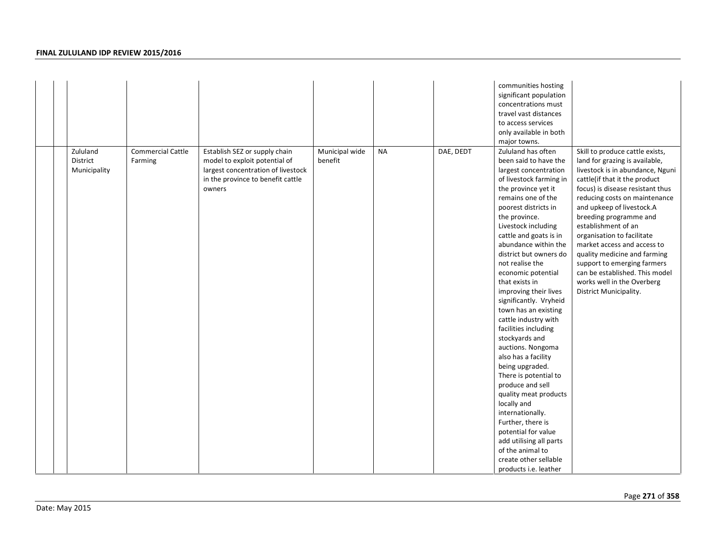|  |                                      |                                     |                                                                                                                                                     |                           |           |           | communities hosting<br>significant population<br>concentrations must<br>travel vast distances<br>to access services<br>only available in both<br>major towns.                                                                                                                                                                                                                                                                                                                                                                                                                                                                                                                                                                                                                                                         |                                                                                                                                                                                                                                                                                                                                                                                                                                                                                                                 |
|--|--------------------------------------|-------------------------------------|-----------------------------------------------------------------------------------------------------------------------------------------------------|---------------------------|-----------|-----------|-----------------------------------------------------------------------------------------------------------------------------------------------------------------------------------------------------------------------------------------------------------------------------------------------------------------------------------------------------------------------------------------------------------------------------------------------------------------------------------------------------------------------------------------------------------------------------------------------------------------------------------------------------------------------------------------------------------------------------------------------------------------------------------------------------------------------|-----------------------------------------------------------------------------------------------------------------------------------------------------------------------------------------------------------------------------------------------------------------------------------------------------------------------------------------------------------------------------------------------------------------------------------------------------------------------------------------------------------------|
|  | Zululand<br>District<br>Municipality | <b>Commercial Cattle</b><br>Farming | Establish SEZ or supply chain<br>model to exploit potential of<br>largest concentration of livestock<br>in the province to benefit cattle<br>owners | Municipal wide<br>benefit | <b>NA</b> | DAE, DEDT | Zululand has often<br>been said to have the<br>largest concentration<br>of livestock farming in<br>the province yet it<br>remains one of the<br>poorest districts in<br>the province.<br>Livestock including<br>cattle and goats is in<br>abundance within the<br>district but owners do<br>not realise the<br>economic potential<br>that exists in<br>improving their lives<br>significantly. Vryheid<br>town has an existing<br>cattle industry with<br>facilities including<br>stockyards and<br>auctions. Nongoma<br>also has a facility<br>being upgraded.<br>There is potential to<br>produce and sell<br>quality meat products<br>locally and<br>internationally.<br>Further, there is<br>potential for value<br>add utilising all parts<br>of the animal to<br>create other sellable<br>products i.e. leather | Skill to produce cattle exists,<br>land for grazing is available,<br>livestock is in abundance, Nguni<br>cattle(if that it the product<br>focus) is disease resistant thus<br>reducing costs on maintenance<br>and upkeep of livestock.A<br>breeding programme and<br>establishment of an<br>organisation to facilitate<br>market access and access to<br>quality medicine and farming<br>support to emerging farmers<br>can be established. This model<br>works well in the Overberg<br>District Municipality. |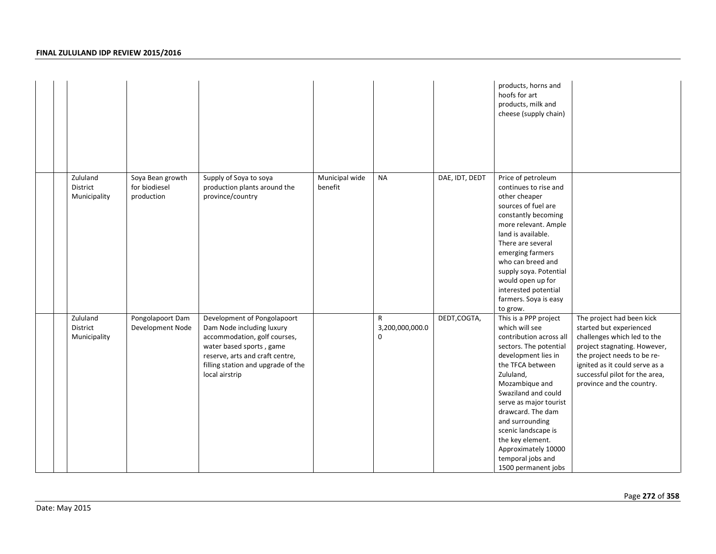|                                      |                                                 |                                                                                                                                                                                                                 |                           |                                                |                | products, horns and<br>hoofs for art<br>products, milk and<br>cheese (supply chain)                                                                                                                                                                                                                                                                                           |                                                                                                                                                                                                                                                     |
|--------------------------------------|-------------------------------------------------|-----------------------------------------------------------------------------------------------------------------------------------------------------------------------------------------------------------------|---------------------------|------------------------------------------------|----------------|-------------------------------------------------------------------------------------------------------------------------------------------------------------------------------------------------------------------------------------------------------------------------------------------------------------------------------------------------------------------------------|-----------------------------------------------------------------------------------------------------------------------------------------------------------------------------------------------------------------------------------------------------|
| Zululand<br>District<br>Municipality | Soya Bean growth<br>for biodiesel<br>production | Supply of Soya to soya<br>production plants around the<br>province/country                                                                                                                                      | Municipal wide<br>benefit | <b>NA</b>                                      | DAE, IDT, DEDT | Price of petroleum<br>continues to rise and<br>other cheaper<br>sources of fuel are<br>constantly becoming<br>more relevant. Ample<br>land is available.<br>There are several<br>emerging farmers<br>who can breed and<br>supply soya. Potential<br>would open up for<br>interested potential<br>farmers. Soya is easy<br>to grow.                                            |                                                                                                                                                                                                                                                     |
| Zululand<br>District<br>Municipality | Pongolapoort Dam<br>Development Node            | Development of Pongolapoort<br>Dam Node including luxury<br>accommodation, golf courses,<br>water based sports, game<br>reserve, arts and craft centre,<br>filling station and upgrade of the<br>local airstrip |                           | $\mathsf{R}$<br>3,200,000,000.0<br>$\mathbf 0$ | DEDT, COGTA,   | This is a PPP project<br>which will see<br>contribution across all<br>sectors. The potential<br>development lies in<br>the TFCA between<br>Zululand,<br>Mozambique and<br>Swaziland and could<br>serve as major tourist<br>drawcard. The dam<br>and surrounding<br>scenic landscape is<br>the key element.<br>Approximately 10000<br>temporal jobs and<br>1500 permanent jobs | The project had been kick<br>started but experienced<br>challenges which led to the<br>project stagnating. However,<br>the project needs to be re-<br>ignited as it could serve as a<br>successful pilot for the area,<br>province and the country. |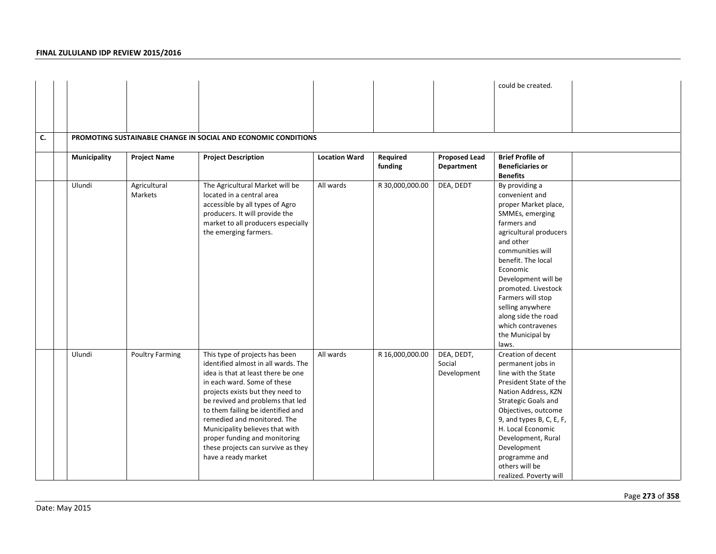|    |              |                         |                                                                                                                                                                                                                                                                                                                                                                                                                         |                      |                     |                                           | could be created.                                                                                                                                                                                                                                                                                                                                       |  |
|----|--------------|-------------------------|-------------------------------------------------------------------------------------------------------------------------------------------------------------------------------------------------------------------------------------------------------------------------------------------------------------------------------------------------------------------------------------------------------------------------|----------------------|---------------------|-------------------------------------------|---------------------------------------------------------------------------------------------------------------------------------------------------------------------------------------------------------------------------------------------------------------------------------------------------------------------------------------------------------|--|
|    |              |                         |                                                                                                                                                                                                                                                                                                                                                                                                                         |                      |                     |                                           |                                                                                                                                                                                                                                                                                                                                                         |  |
|    |              |                         |                                                                                                                                                                                                                                                                                                                                                                                                                         |                      |                     |                                           |                                                                                                                                                                                                                                                                                                                                                         |  |
| C. |              |                         | PROMOTING SUSTAINABLE CHANGE IN SOCIAL AND ECONOMIC CONDITIONS                                                                                                                                                                                                                                                                                                                                                          |                      |                     |                                           |                                                                                                                                                                                                                                                                                                                                                         |  |
|    | Municipality | <b>Project Name</b>     | <b>Project Description</b>                                                                                                                                                                                                                                                                                                                                                                                              | <b>Location Ward</b> | Required<br>funding | <b>Proposed Lead</b><br><b>Department</b> | <b>Brief Profile of</b><br><b>Beneficiaries or</b><br><b>Benefits</b>                                                                                                                                                                                                                                                                                   |  |
|    | Ulundi       | Agricultural<br>Markets | The Agricultural Market will be<br>located in a central area<br>accessible by all types of Agro<br>producers. It will provide the<br>market to all producers especially<br>the emerging farmers.                                                                                                                                                                                                                        | All wards            | R 30,000,000.00     | DEA, DEDT                                 | By providing a<br>convenient and<br>proper Market place,<br>SMMEs, emerging<br>farmers and<br>agricultural producers<br>and other<br>communities will<br>benefit. The local<br>Economic<br>Development will be<br>promoted. Livestock<br>Farmers will stop<br>selling anywhere<br>along side the road<br>which contravenes<br>the Municipal by<br>laws. |  |
|    | Ulundi       | <b>Poultry Farming</b>  | This type of projects has been<br>identified almost in all wards. The<br>idea is that at least there be one<br>in each ward. Some of these<br>projects exists but they need to<br>be revived and problems that led<br>to them failing be identified and<br>remedied and monitored. The<br>Municipality believes that with<br>proper funding and monitoring<br>these projects can survive as they<br>have a ready market | All wards            | R 16,000,000.00     | DEA, DEDT,<br>Social<br>Development       | Creation of decent<br>permanent jobs in<br>line with the State<br>President State of the<br>Nation Address, KZN<br>Strategic Goals and<br>Objectives, outcome<br>9, and types B, C, E, F,<br>H. Local Economic<br>Development, Rural<br>Development<br>programme and<br>others will be<br>realized. Poverty will                                        |  |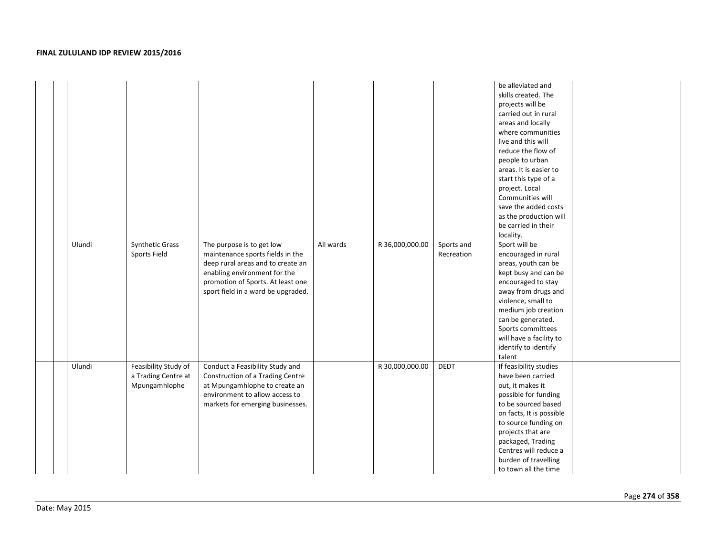|  |        |                                                              |                                                                                                                                                                                                               |           |                 |                          | be alleviated and<br>skills created. The<br>projects will be<br>carried out in rural<br>areas and locally<br>where communities<br>live and this will<br>reduce the flow of<br>people to urban<br>areas. It is easier to<br>start this type of a<br>project. Local<br>Communities will<br>save the added costs<br>as the production will<br>be carried in their<br>locality. |  |
|--|--------|--------------------------------------------------------------|---------------------------------------------------------------------------------------------------------------------------------------------------------------------------------------------------------------|-----------|-----------------|--------------------------|-----------------------------------------------------------------------------------------------------------------------------------------------------------------------------------------------------------------------------------------------------------------------------------------------------------------------------------------------------------------------------|--|
|  | Ulundi | Synthetic Grass<br>Sports Field                              | The purpose is to get low<br>maintenance sports fields in the<br>deep rural areas and to create an<br>enabling environment for the<br>promotion of Sports. At least one<br>sport field in a ward be upgraded. | All wards | R 36,000,000.00 | Sports and<br>Recreation | Sport will be<br>encouraged in rural<br>areas, youth can be<br>kept busy and can be<br>encouraged to stay<br>away from drugs and<br>violence, small to<br>medium job creation<br>can be generated.<br>Sports committees<br>will have a facility to<br>identify to identify<br>talent                                                                                        |  |
|  | Ulundi | Feasibility Study of<br>a Trading Centre at<br>Mpungamhlophe | Conduct a Feasibility Study and<br>Construction of a Trading Centre<br>at Mpungamhlophe to create an<br>environment to allow access to<br>markets for emerging businesses.                                    |           | R 30,000,000.00 | <b>DEDT</b>              | If feasibility studies<br>have been carried<br>out, it makes it<br>possible for funding<br>to be sourced based<br>on facts, It is possible<br>to source funding on<br>projects that are<br>packaged, Trading<br>Centres will reduce a<br>burden of travelling<br>to town all the time                                                                                       |  |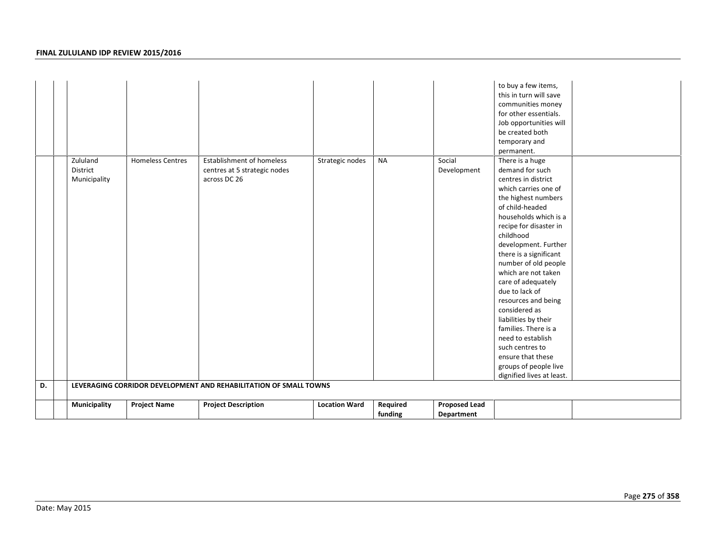| D. | Zululand<br>District<br>Municipality | <b>Homeless Centres</b> | Establishment of homeless<br>centres at 5 strategic nodes<br>across DC 26<br>LEVERAGING CORRIDOR DEVELOPMENT AND REHABILITATION OF SMALL TOWNS | Strategic nodes      | <b>NA</b>           | Social<br>Development              | to buy a few items,<br>this in turn will save<br>communities money<br>for other essentials.<br>Job opportunities will<br>be created both<br>temporary and<br>permanent.<br>There is a huge<br>demand for such<br>centres in district<br>which carries one of<br>the highest numbers<br>of child-headed<br>households which is a<br>recipe for disaster in<br>childhood<br>development. Further<br>there is a significant<br>number of old people<br>which are not taken<br>care of adequately<br>due to lack of<br>resources and being<br>considered as<br>liabilities by their<br>families. There is a<br>need to establish<br>such centres to<br>ensure that these<br>groups of people live<br>dignified lives at least. |  |
|----|--------------------------------------|-------------------------|------------------------------------------------------------------------------------------------------------------------------------------------|----------------------|---------------------|------------------------------------|----------------------------------------------------------------------------------------------------------------------------------------------------------------------------------------------------------------------------------------------------------------------------------------------------------------------------------------------------------------------------------------------------------------------------------------------------------------------------------------------------------------------------------------------------------------------------------------------------------------------------------------------------------------------------------------------------------------------------|--|
|    |                                      |                         |                                                                                                                                                |                      |                     |                                    |                                                                                                                                                                                                                                                                                                                                                                                                                                                                                                                                                                                                                                                                                                                            |  |
|    | Municipality                         | <b>Project Name</b>     | <b>Project Description</b>                                                                                                                     | <b>Location Ward</b> | Required<br>funding | <b>Proposed Lead</b><br>Department |                                                                                                                                                                                                                                                                                                                                                                                                                                                                                                                                                                                                                                                                                                                            |  |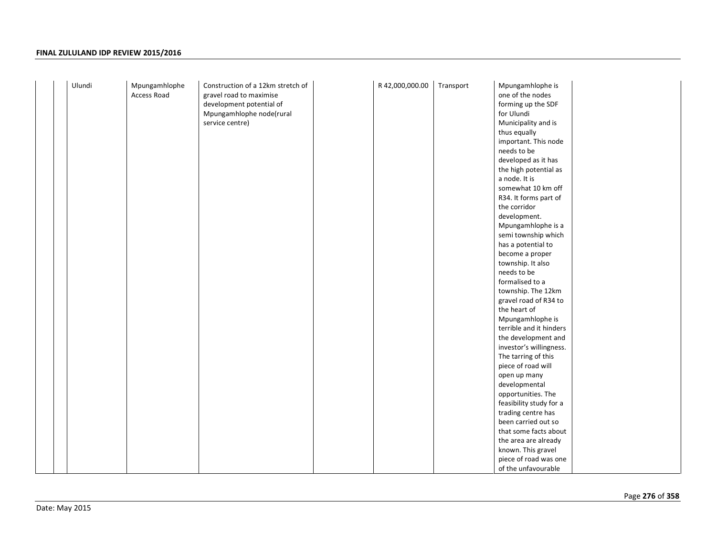| Ulundi | Mpungamhlophe | Construction of a 12km stretch of | R 42,000,000.00 | Transport | Mpungamhlophe is        |  |
|--------|---------------|-----------------------------------|-----------------|-----------|-------------------------|--|
|        | Access Road   | gravel road to maximise           |                 |           | one of the nodes        |  |
|        |               | development potential of          |                 |           | forming up the SDF      |  |
|        |               | Mpungamhlophe node(rural          |                 |           | for Ulundi              |  |
|        |               | service centre)                   |                 |           | Municipality and is     |  |
|        |               |                                   |                 |           | thus equally            |  |
|        |               |                                   |                 |           | important. This node    |  |
|        |               |                                   |                 |           | needs to be             |  |
|        |               |                                   |                 |           | developed as it has     |  |
|        |               |                                   |                 |           | the high potential as   |  |
|        |               |                                   |                 |           | a node. It is           |  |
|        |               |                                   |                 |           | somewhat 10 km off      |  |
|        |               |                                   |                 |           | R34. It forms part of   |  |
|        |               |                                   |                 |           | the corridor            |  |
|        |               |                                   |                 |           | development.            |  |
|        |               |                                   |                 |           | Mpungamhlophe is a      |  |
|        |               |                                   |                 |           | semi township which     |  |
|        |               |                                   |                 |           | has a potential to      |  |
|        |               |                                   |                 |           | become a proper         |  |
|        |               |                                   |                 |           | township. It also       |  |
|        |               |                                   |                 |           | needs to be             |  |
|        |               |                                   |                 |           | formalised to a         |  |
|        |               |                                   |                 |           | township. The 12km      |  |
|        |               |                                   |                 |           | gravel road of R34 to   |  |
|        |               |                                   |                 |           | the heart of            |  |
|        |               |                                   |                 |           | Mpungamhlophe is        |  |
|        |               |                                   |                 |           | terrible and it hinders |  |
|        |               |                                   |                 |           | the development and     |  |
|        |               |                                   |                 |           | investor's willingness. |  |
|        |               |                                   |                 |           | The tarring of this     |  |
|        |               |                                   |                 |           | piece of road will      |  |
|        |               |                                   |                 |           | open up many            |  |
|        |               |                                   |                 |           | developmental           |  |
|        |               |                                   |                 |           | opportunities. The      |  |
|        |               |                                   |                 |           | feasibility study for a |  |
|        |               |                                   |                 |           | trading centre has      |  |
|        |               |                                   |                 |           | been carried out so     |  |
|        |               |                                   |                 |           | that some facts about   |  |
|        |               |                                   |                 |           | the area are already    |  |
|        |               |                                   |                 |           | known. This gravel      |  |
|        |               |                                   |                 |           | piece of road was one   |  |
|        |               |                                   |                 |           | of the unfavourable     |  |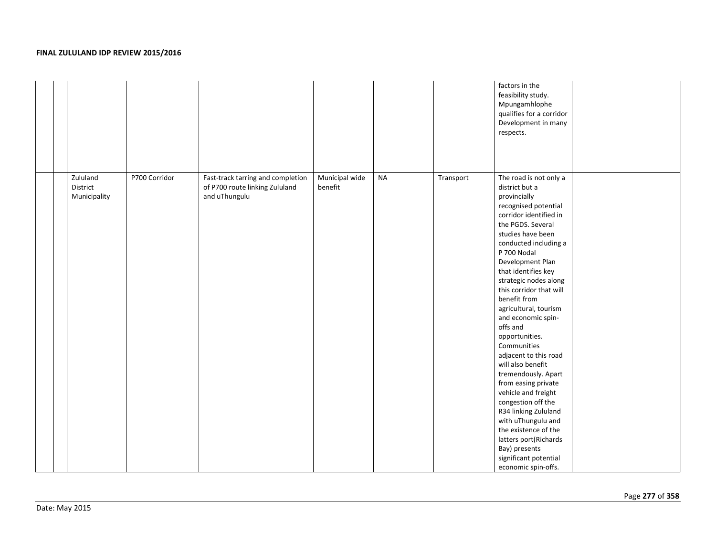|                                      |               |                                                                                      |                           |           |           | factors in the<br>feasibility study.<br>Mpungamhlophe<br>qualifies for a corridor<br>Development in many<br>respects.                                                                                                                                                                                                                                                                                                                                                                                                                                                                                                                                                                                            |
|--------------------------------------|---------------|--------------------------------------------------------------------------------------|---------------------------|-----------|-----------|------------------------------------------------------------------------------------------------------------------------------------------------------------------------------------------------------------------------------------------------------------------------------------------------------------------------------------------------------------------------------------------------------------------------------------------------------------------------------------------------------------------------------------------------------------------------------------------------------------------------------------------------------------------------------------------------------------------|
| Zululand<br>District<br>Municipality | P700 Corridor | Fast-track tarring and completion<br>of P700 route linking Zululand<br>and uThungulu | Municipal wide<br>benefit | <b>NA</b> | Transport | The road is not only a<br>district but a<br>provincially<br>recognised potential<br>corridor identified in<br>the PGDS. Several<br>studies have been<br>conducted including a<br>P 700 Nodal<br>Development Plan<br>that identifies key<br>strategic nodes along<br>this corridor that will<br>benefit from<br>agricultural, tourism<br>and economic spin-<br>offs and<br>opportunities.<br>Communities<br>adjacent to this road<br>will also benefit<br>tremendously. Apart<br>from easing private<br>vehicle and freight<br>congestion off the<br>R34 linking Zululand<br>with uThungulu and<br>the existence of the<br>latters port(Richards<br>Bay) presents<br>significant potential<br>economic spin-offs. |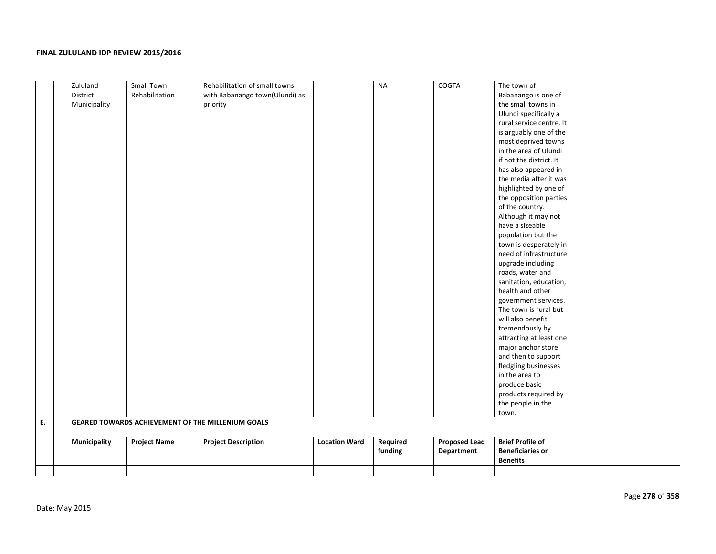| Required<br><b>Brief Profile of</b><br><b>Proposed Lead</b><br><b>Municipality</b><br><b>Project Name</b><br><b>Project Description</b><br><b>Location Ward</b><br><b>Beneficiaries or</b><br>funding<br>Department<br><b>Benefits</b> | Ε. | Zululand<br>District<br>Municipality | Small Town<br>Rehabilitation | Rehabilitation of small towns<br>with Babanango town(Ulundi) as<br>priority<br>GEARED TOWARDS ACHIEVEMENT OF THE MILLENIUM GOALS | <b>NA</b> | COGTA | The town of<br>Babanango is one of<br>the small towns in<br>Ulundi specifically a<br>rural service centre. It<br>is arguably one of the<br>most deprived towns<br>in the area of Ulundi<br>if not the district. It<br>has also appeared in<br>the media after it was<br>highlighted by one of<br>the opposition parties<br>of the country.<br>Although it may not<br>have a sizeable<br>population but the<br>town is desperately in<br>need of infrastructure<br>upgrade including<br>roads, water and<br>sanitation, education,<br>health and other<br>government services.<br>The town is rural but<br>will also benefit<br>tremendously by<br>attracting at least one<br>major anchor store<br>and then to support<br>fledgling businesses<br>in the area to<br>produce basic<br>products required by<br>the people in the<br>town. |  |
|----------------------------------------------------------------------------------------------------------------------------------------------------------------------------------------------------------------------------------------|----|--------------------------------------|------------------------------|----------------------------------------------------------------------------------------------------------------------------------|-----------|-------|-----------------------------------------------------------------------------------------------------------------------------------------------------------------------------------------------------------------------------------------------------------------------------------------------------------------------------------------------------------------------------------------------------------------------------------------------------------------------------------------------------------------------------------------------------------------------------------------------------------------------------------------------------------------------------------------------------------------------------------------------------------------------------------------------------------------------------------------|--|
|                                                                                                                                                                                                                                        |    |                                      |                              |                                                                                                                                  |           |       |                                                                                                                                                                                                                                                                                                                                                                                                                                                                                                                                                                                                                                                                                                                                                                                                                                         |  |
|                                                                                                                                                                                                                                        |    |                                      |                              |                                                                                                                                  |           |       |                                                                                                                                                                                                                                                                                                                                                                                                                                                                                                                                                                                                                                                                                                                                                                                                                                         |  |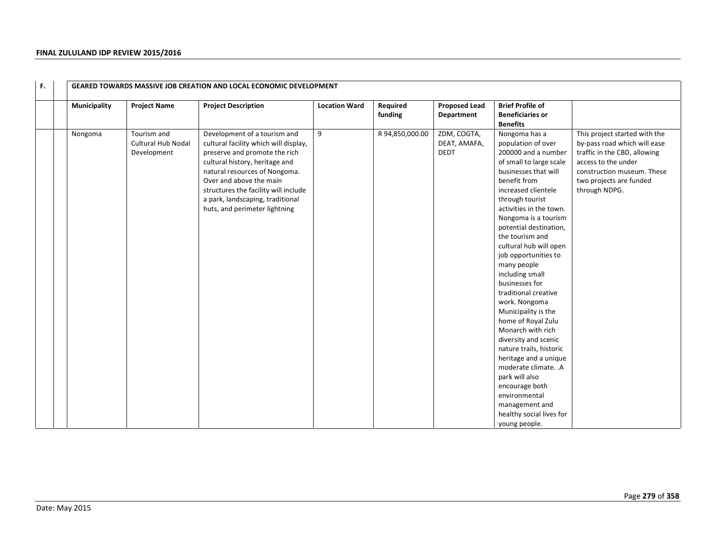| F. |              |                                                  | <b>GEARED TOWARDS MASSIVE JOB CREATION AND LOCAL ECONOMIC DEVELOPMENT</b>                                                                                                                                                                                                                                         |                      |                     |                                            |                                                                                                                                                                                                                                                                                                                                                                                                                                                                                                                                                                                                                                                                                                                  |                                                                                                                                                                                                |
|----|--------------|--------------------------------------------------|-------------------------------------------------------------------------------------------------------------------------------------------------------------------------------------------------------------------------------------------------------------------------------------------------------------------|----------------------|---------------------|--------------------------------------------|------------------------------------------------------------------------------------------------------------------------------------------------------------------------------------------------------------------------------------------------------------------------------------------------------------------------------------------------------------------------------------------------------------------------------------------------------------------------------------------------------------------------------------------------------------------------------------------------------------------------------------------------------------------------------------------------------------------|------------------------------------------------------------------------------------------------------------------------------------------------------------------------------------------------|
|    | Municipality | <b>Project Name</b>                              | <b>Project Description</b>                                                                                                                                                                                                                                                                                        | <b>Location Ward</b> | Required<br>funding | <b>Proposed Lead</b><br>Department         | <b>Brief Profile of</b><br><b>Beneficiaries or</b><br><b>Benefits</b>                                                                                                                                                                                                                                                                                                                                                                                                                                                                                                                                                                                                                                            |                                                                                                                                                                                                |
|    | Nongoma      | Tourism and<br>Cultural Hub Nodal<br>Development | Development of a tourism and<br>cultural facility which will display,<br>preserve and promote the rich<br>cultural history, heritage and<br>natural resources of Nongoma.<br>Over and above the main<br>structures the facility will include<br>a park, landscaping, traditional<br>huts, and perimeter lightning | 9                    | R 94,850,000.00     | ZDM, COGTA,<br>DEAT, AMAFA,<br><b>DEDT</b> | Nongoma has a<br>population of over<br>200000 and a number<br>of small to large scale<br>businesses that will<br>benefit from<br>increased clientele<br>through tourist<br>activities in the town.<br>Nongoma is a tourism<br>potential destination,<br>the tourism and<br>cultural hub will open<br>job opportunities to<br>many people<br>including small<br>businesses for<br>traditional creative<br>work. Nongoma<br>Municipality is the<br>home of Royal Zulu<br>Monarch with rich<br>diversity and scenic<br>nature trails, historic<br>heritage and a unique<br>moderate climate. .A<br>park will also<br>encourage both<br>environmental<br>management and<br>healthy social lives for<br>young people. | This project started with the<br>by-pass road which will ease<br>traffic in the CBD, allowing<br>access to the under<br>construction museum. These<br>two projects are funded<br>through NDPG. |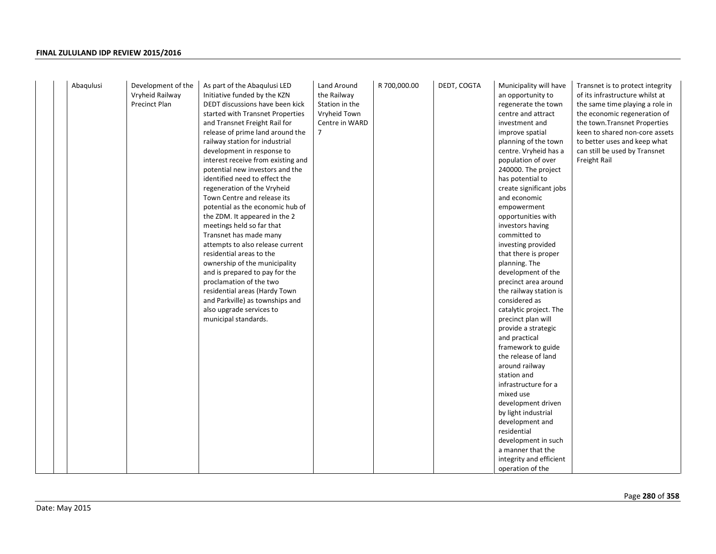| Abaqulusi<br>Development of the<br>Land Around<br>R 700,000.00<br>DEDT, COGTA<br>Municipality will have<br>As part of the Abaqulusi LED<br>Vryheid Railway<br>Initiative funded by the KZN<br>the Railway<br>an opportunity to<br><b>Precinct Plan</b><br>DEDT discussions have been kick<br>Station in the<br>regenerate the town<br>started with Transnet Properties<br>Vryheid Town<br>centre and attract<br>and Transnet Freight Rail for<br>Centre in WARD<br>investment and<br>release of prime land around the<br>7<br>improve spatial<br>railway station for industrial<br>planning of the town<br>centre. Vryheid has a<br>development in response to<br>interest receive from existing and<br>population of over<br>potential new investors and the<br>240000. The project<br>identified need to effect the<br>has potential to<br>regeneration of the Vryheid<br>create significant jobs<br>Town Centre and release its<br>and economic<br>potential as the economic hub of<br>empowerment<br>the ZDM. It appeared in the 2<br>opportunities with<br>meetings held so far that<br>investors having<br>Transnet has made many<br>committed to<br>attempts to also release current<br>investing provided<br>residential areas to the<br>that there is proper<br>ownership of the municipality<br>planning. The<br>and is prepared to pay for the<br>development of the<br>proclamation of the two<br>precinct area around<br>residential areas (Hardy Town<br>the railway station is<br>and Parkville) as townships and<br>considered as<br>also upgrade services to<br>catalytic project. The<br>municipal standards.<br>precinct plan will<br>provide a strategic<br>and practical<br>framework to guide<br>the release of land<br>around railway<br>station and<br>infrastructure for a<br>mixed use<br>development driven<br>by light industrial<br>development and<br>residential<br>development in such<br>a manner that the<br>integrity and efficient | Transnet is to protect integrity<br>of its infrastructure whilst at<br>the same time playing a role in<br>the economic regeneration of<br>the town. Transnet Properties<br>keen to shared non-core assets<br>to better uses and keep what<br>can still be used by Transnet<br>Freight Rail |
|------------------------------------------------------------------------------------------------------------------------------------------------------------------------------------------------------------------------------------------------------------------------------------------------------------------------------------------------------------------------------------------------------------------------------------------------------------------------------------------------------------------------------------------------------------------------------------------------------------------------------------------------------------------------------------------------------------------------------------------------------------------------------------------------------------------------------------------------------------------------------------------------------------------------------------------------------------------------------------------------------------------------------------------------------------------------------------------------------------------------------------------------------------------------------------------------------------------------------------------------------------------------------------------------------------------------------------------------------------------------------------------------------------------------------------------------------------------------------------------------------------------------------------------------------------------------------------------------------------------------------------------------------------------------------------------------------------------------------------------------------------------------------------------------------------------------------------------------------------------------------------------------------------------------------------------------------------------------|--------------------------------------------------------------------------------------------------------------------------------------------------------------------------------------------------------------------------------------------------------------------------------------------|
|------------------------------------------------------------------------------------------------------------------------------------------------------------------------------------------------------------------------------------------------------------------------------------------------------------------------------------------------------------------------------------------------------------------------------------------------------------------------------------------------------------------------------------------------------------------------------------------------------------------------------------------------------------------------------------------------------------------------------------------------------------------------------------------------------------------------------------------------------------------------------------------------------------------------------------------------------------------------------------------------------------------------------------------------------------------------------------------------------------------------------------------------------------------------------------------------------------------------------------------------------------------------------------------------------------------------------------------------------------------------------------------------------------------------------------------------------------------------------------------------------------------------------------------------------------------------------------------------------------------------------------------------------------------------------------------------------------------------------------------------------------------------------------------------------------------------------------------------------------------------------------------------------------------------------------------------------------------------|--------------------------------------------------------------------------------------------------------------------------------------------------------------------------------------------------------------------------------------------------------------------------------------------|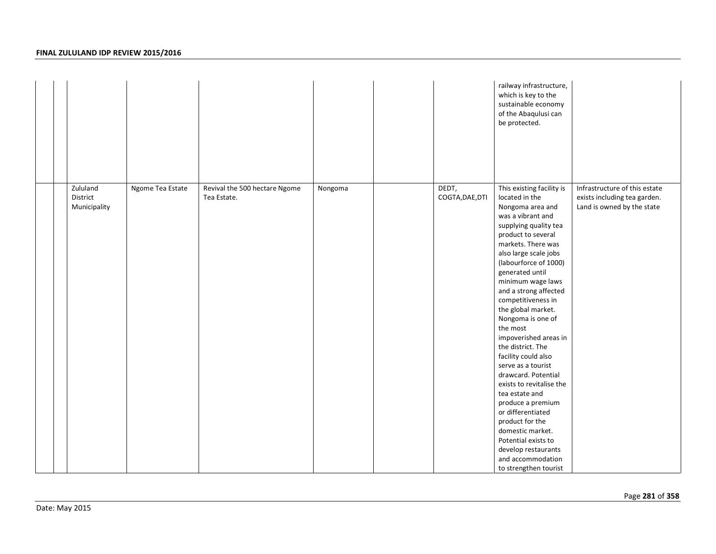|                                      |                  |                                              |         |                          | railway infrastructure,<br>which is key to the<br>sustainable economy<br>of the Abaqulusi can<br>be protected.                                                                                                                                                                                                                                                                                                                                                                                                                                                                                                                                                                                         |                                                                                             |
|--------------------------------------|------------------|----------------------------------------------|---------|--------------------------|--------------------------------------------------------------------------------------------------------------------------------------------------------------------------------------------------------------------------------------------------------------------------------------------------------------------------------------------------------------------------------------------------------------------------------------------------------------------------------------------------------------------------------------------------------------------------------------------------------------------------------------------------------------------------------------------------------|---------------------------------------------------------------------------------------------|
| Zululand<br>District<br>Municipality | Ngome Tea Estate | Revival the 500 hectare Ngome<br>Tea Estate. | Nongoma | DEDT,<br>COGTA, DAE, DTI | This existing facility is<br>located in the<br>Nongoma area and<br>was a vibrant and<br>supplying quality tea<br>product to several<br>markets. There was<br>also large scale jobs<br>(labourforce of 1000)<br>generated until<br>minimum wage laws<br>and a strong affected<br>competitiveness in<br>the global market.<br>Nongoma is one of<br>the most<br>impoverished areas in<br>the district. The<br>facility could also<br>serve as a tourist<br>drawcard. Potential<br>exists to revitalise the<br>tea estate and<br>produce a premium<br>or differentiated<br>product for the<br>domestic market.<br>Potential exists to<br>develop restaurants<br>and accommodation<br>to strengthen tourist | Infrastructure of this estate<br>exists including tea garden.<br>Land is owned by the state |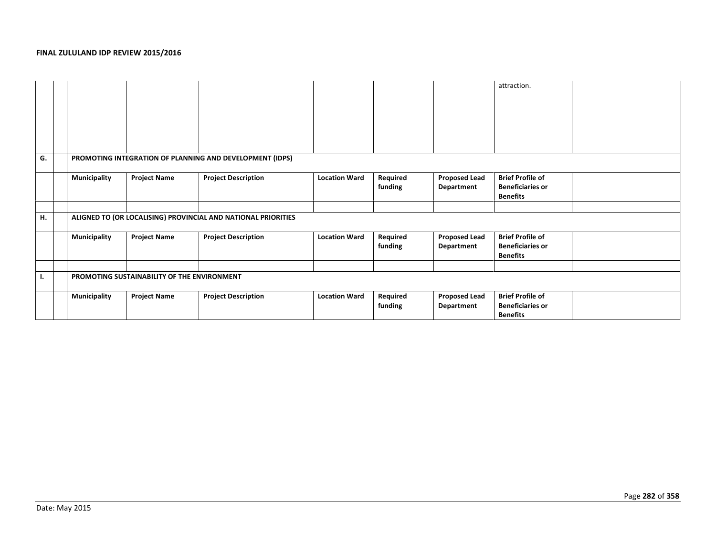|    |                     |                                             |                                                               |                      |                     |                                    | attraction.                                                           |  |
|----|---------------------|---------------------------------------------|---------------------------------------------------------------|----------------------|---------------------|------------------------------------|-----------------------------------------------------------------------|--|
| G. |                     |                                             | PROMOTING INTEGRATION OF PLANNING AND DEVELOPMENT (IDPS)      |                      |                     |                                    |                                                                       |  |
|    | <b>Municipality</b> | <b>Project Name</b>                         | <b>Project Description</b>                                    | <b>Location Ward</b> | Required<br>funding | <b>Proposed Lead</b><br>Department | <b>Brief Profile of</b><br><b>Beneficiaries or</b><br><b>Benefits</b> |  |
|    |                     |                                             |                                                               |                      |                     |                                    |                                                                       |  |
| н. |                     |                                             | ALIGNED TO (OR LOCALISING) PROVINCIAL AND NATIONAL PRIORITIES |                      |                     |                                    |                                                                       |  |
|    | <b>Municipality</b> | <b>Project Name</b>                         | <b>Project Description</b>                                    | <b>Location Ward</b> | Required<br>funding | <b>Proposed Lead</b><br>Department | <b>Brief Profile of</b><br><b>Beneficiaries or</b><br><b>Benefits</b> |  |
|    |                     |                                             |                                                               |                      |                     |                                    |                                                                       |  |
| ι. |                     | PROMOTING SUSTAINABILITY OF THE ENVIRONMENT |                                                               |                      |                     |                                    |                                                                       |  |
|    | <b>Municipality</b> | <b>Project Name</b>                         | <b>Project Description</b>                                    | <b>Location Ward</b> | Required<br>funding | <b>Proposed Lead</b><br>Department | <b>Brief Profile of</b><br><b>Beneficiaries or</b><br><b>Benefits</b> |  |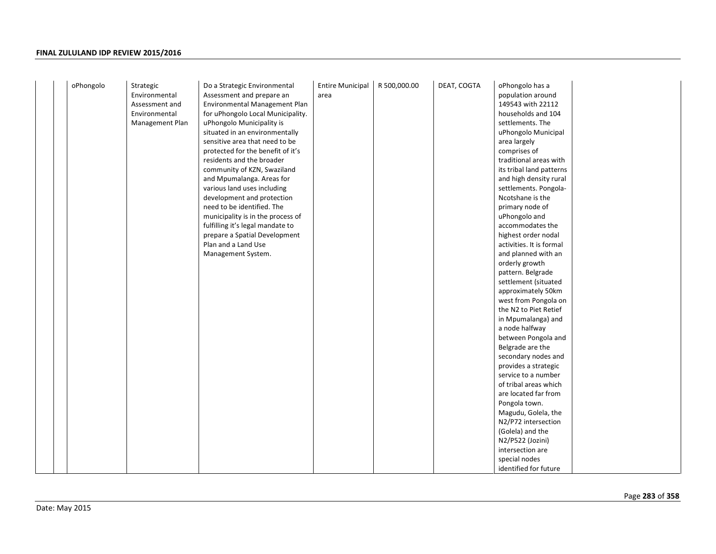| oPhongolo | Strategic       | Do a Strategic Environmental      | <b>Entire Municipal</b> | R 500,000.00 | DEAT, COGTA | oPhongolo has a          |  |
|-----------|-----------------|-----------------------------------|-------------------------|--------------|-------------|--------------------------|--|
|           | Environmental   | Assessment and prepare an         | area                    |              |             | population around        |  |
|           | Assessment and  | Environmental Management Plan     |                         |              |             | 149543 with 22112        |  |
|           | Environmental   | for uPhongolo Local Municipality. |                         |              |             | households and 104       |  |
|           | Management Plan | uPhongolo Municipality is         |                         |              |             | settlements. The         |  |
|           |                 | situated in an environmentally    |                         |              |             | uPhongolo Municipal      |  |
|           |                 | sensitive area that need to be    |                         |              |             | area largely             |  |
|           |                 | protected for the benefit of it's |                         |              |             | comprises of             |  |
|           |                 | residents and the broader         |                         |              |             | traditional areas with   |  |
|           |                 | community of KZN, Swaziland       |                         |              |             | its tribal land patterns |  |
|           |                 | and Mpumalanga. Areas for         |                         |              |             | and high density rural   |  |
|           |                 | various land uses including       |                         |              |             | settlements. Pongola-    |  |
|           |                 | development and protection        |                         |              |             | Ncotshane is the         |  |
|           |                 | need to be identified. The        |                         |              |             | primary node of          |  |
|           |                 | municipality is in the process of |                         |              |             | uPhongolo and            |  |
|           |                 | fulfilling it's legal mandate to  |                         |              |             | accommodates the         |  |
|           |                 | prepare a Spatial Development     |                         |              |             | highest order nodal      |  |
|           |                 | Plan and a Land Use               |                         |              |             | activities. It is formal |  |
|           |                 | Management System.                |                         |              |             | and planned with an      |  |
|           |                 |                                   |                         |              |             | orderly growth           |  |
|           |                 |                                   |                         |              |             | pattern. Belgrade        |  |
|           |                 |                                   |                         |              |             | settlement (situated     |  |
|           |                 |                                   |                         |              |             | approximately 50km       |  |
|           |                 |                                   |                         |              |             | west from Pongola on     |  |
|           |                 |                                   |                         |              |             | the N2 to Piet Retief    |  |
|           |                 |                                   |                         |              |             | in Mpumalanga) and       |  |
|           |                 |                                   |                         |              |             | a node halfway           |  |
|           |                 |                                   |                         |              |             | between Pongola and      |  |
|           |                 |                                   |                         |              |             | Belgrade are the         |  |
|           |                 |                                   |                         |              |             | secondary nodes and      |  |
|           |                 |                                   |                         |              |             | provides a strategic     |  |
|           |                 |                                   |                         |              |             | service to a number      |  |
|           |                 |                                   |                         |              |             | of tribal areas which    |  |
|           |                 |                                   |                         |              |             | are located far from     |  |
|           |                 |                                   |                         |              |             | Pongola town.            |  |
|           |                 |                                   |                         |              |             | Magudu, Golela, the      |  |
|           |                 |                                   |                         |              |             | N2/P72 intersection      |  |
|           |                 |                                   |                         |              |             | (Golela) and the         |  |
|           |                 |                                   |                         |              |             | N2/P522 (Jozini)         |  |
|           |                 |                                   |                         |              |             | intersection are         |  |
|           |                 |                                   |                         |              |             | special nodes            |  |
|           |                 |                                   |                         |              |             | identified for future    |  |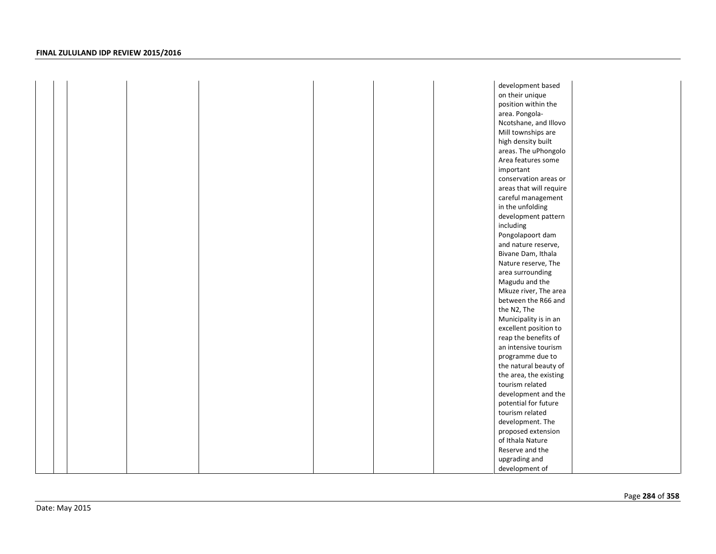|  |  |  | development based       |  |
|--|--|--|-------------------------|--|
|  |  |  | on their unique         |  |
|  |  |  | position within the     |  |
|  |  |  | area. Pongola-          |  |
|  |  |  | Ncotshane, and Illovo   |  |
|  |  |  | Mill townships are      |  |
|  |  |  | high density built      |  |
|  |  |  | areas. The uPhongolo    |  |
|  |  |  | Area features some      |  |
|  |  |  | important               |  |
|  |  |  | conservation areas or   |  |
|  |  |  | areas that will require |  |
|  |  |  | careful management      |  |
|  |  |  | in the unfolding        |  |
|  |  |  | development pattern     |  |
|  |  |  | including               |  |
|  |  |  | Pongolapoort dam        |  |
|  |  |  | and nature reserve,     |  |
|  |  |  | Bivane Dam, Ithala      |  |
|  |  |  | Nature reserve, The     |  |
|  |  |  | area surrounding        |  |
|  |  |  | Magudu and the          |  |
|  |  |  | Mkuze river, The area   |  |
|  |  |  | between the R66 and     |  |
|  |  |  | the N2, The             |  |
|  |  |  | Municipality is in an   |  |
|  |  |  | excellent position to   |  |
|  |  |  | reap the benefits of    |  |
|  |  |  | an intensive tourism    |  |
|  |  |  | programme due to        |  |
|  |  |  | the natural beauty of   |  |
|  |  |  | the area, the existing  |  |
|  |  |  | tourism related         |  |
|  |  |  | development and the     |  |
|  |  |  | potential for future    |  |
|  |  |  | tourism related         |  |
|  |  |  | development. The        |  |
|  |  |  | proposed extension      |  |
|  |  |  | of Ithala Nature        |  |
|  |  |  | Reserve and the         |  |
|  |  |  | upgrading and           |  |
|  |  |  | development of          |  |
|  |  |  |                         |  |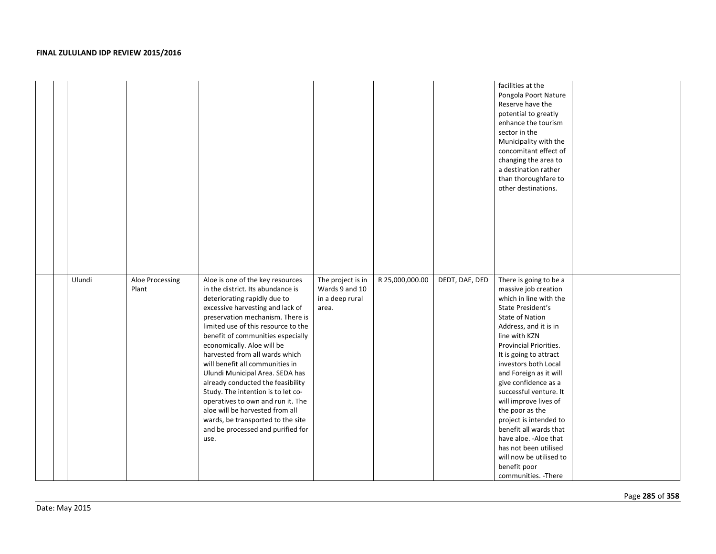|  |        |                          |                                                                                                                                                                                                                                                                                                                                                                                                                                                                                                                                                                                                                                      |                                                                 |                 |                | facilities at the<br>Pongola Poort Nature<br>Reserve have the<br>potential to greatly<br>enhance the tourism<br>sector in the<br>Municipality with the<br>concomitant effect of<br>changing the area to<br>a destination rather<br>than thoroughfare to<br>other destinations.                                                                                                                                                                                                                                                                  |  |
|--|--------|--------------------------|--------------------------------------------------------------------------------------------------------------------------------------------------------------------------------------------------------------------------------------------------------------------------------------------------------------------------------------------------------------------------------------------------------------------------------------------------------------------------------------------------------------------------------------------------------------------------------------------------------------------------------------|-----------------------------------------------------------------|-----------------|----------------|-------------------------------------------------------------------------------------------------------------------------------------------------------------------------------------------------------------------------------------------------------------------------------------------------------------------------------------------------------------------------------------------------------------------------------------------------------------------------------------------------------------------------------------------------|--|
|  | Ulundi | Aloe Processing<br>Plant | Aloe is one of the key resources<br>in the district. Its abundance is<br>deteriorating rapidly due to<br>excessive harvesting and lack of<br>preservation mechanism. There is<br>limited use of this resource to the<br>benefit of communities especially<br>economically. Aloe will be<br>harvested from all wards which<br>will benefit all communities in<br>Ulundi Municipal Area. SEDA has<br>already conducted the feasibility<br>Study. The intention is to let co-<br>operatives to own and run it. The<br>aloe will be harvested from all<br>wards, be transported to the site<br>and be processed and purified for<br>use. | The project is in<br>Wards 9 and 10<br>in a deep rural<br>area. | R 25,000,000.00 | DEDT, DAE, DED | There is going to be a<br>massive job creation<br>which in line with the<br>State President's<br><b>State of Nation</b><br>Address, and it is in<br>line with KZN<br>Provincial Priorities.<br>It is going to attract<br>investors both Local<br>and Foreign as it will<br>give confidence as a<br>successful venture. It<br>will improve lives of<br>the poor as the<br>project is intended to<br>benefit all wards that<br>have aloe. - Aloe that<br>has not been utilised<br>will now be utilised to<br>benefit poor<br>communities. - There |  |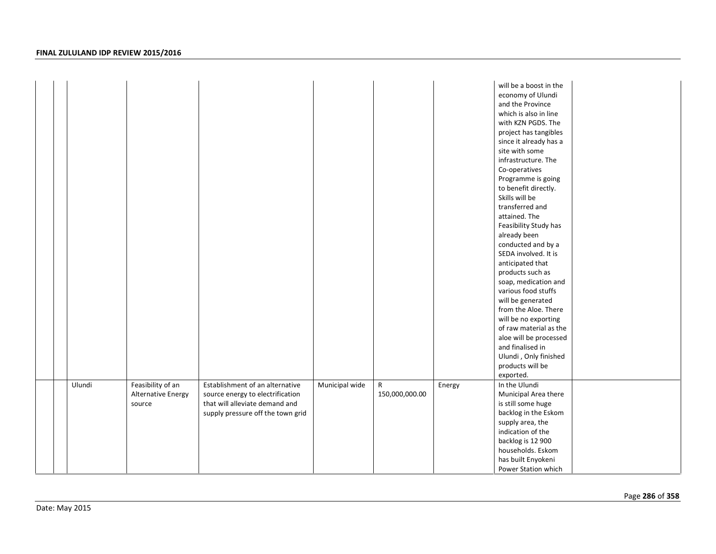|  |        |                    |                                   |                |                |        | will be a boost in the<br>economy of Ulundi<br>and the Province<br>which is also in line<br>with KZN PGDS. The |
|--|--------|--------------------|-----------------------------------|----------------|----------------|--------|----------------------------------------------------------------------------------------------------------------|
|  |        |                    |                                   |                |                |        | project has tangibles                                                                                          |
|  |        |                    |                                   |                |                |        | since it already has a                                                                                         |
|  |        |                    |                                   |                |                |        | site with some                                                                                                 |
|  |        |                    |                                   |                |                |        | infrastructure. The                                                                                            |
|  |        |                    |                                   |                |                |        | Co-operatives                                                                                                  |
|  |        |                    |                                   |                |                |        | Programme is going<br>to benefit directly.                                                                     |
|  |        |                    |                                   |                |                |        | Skills will be                                                                                                 |
|  |        |                    |                                   |                |                |        | transferred and                                                                                                |
|  |        |                    |                                   |                |                |        | attained. The                                                                                                  |
|  |        |                    |                                   |                |                |        | Feasibility Study has                                                                                          |
|  |        |                    |                                   |                |                |        | already been                                                                                                   |
|  |        |                    |                                   |                |                |        | conducted and by a                                                                                             |
|  |        |                    |                                   |                |                |        | SEDA involved. It is                                                                                           |
|  |        |                    |                                   |                |                |        | anticipated that                                                                                               |
|  |        |                    |                                   |                |                |        | products such as                                                                                               |
|  |        |                    |                                   |                |                |        | soap, medication and                                                                                           |
|  |        |                    |                                   |                |                |        | various food stuffs                                                                                            |
|  |        |                    |                                   |                |                |        | will be generated                                                                                              |
|  |        |                    |                                   |                |                |        | from the Aloe. There                                                                                           |
|  |        |                    |                                   |                |                |        | will be no exporting                                                                                           |
|  |        |                    |                                   |                |                |        | of raw material as the                                                                                         |
|  |        |                    |                                   |                |                |        | aloe will be processed                                                                                         |
|  |        |                    |                                   |                |                |        | and finalised in                                                                                               |
|  |        |                    |                                   |                |                |        | Ulundi, Only finished                                                                                          |
|  |        |                    |                                   |                |                |        | products will be<br>exported.                                                                                  |
|  | Ulundi | Feasibility of an  | Establishment of an alternative   | Municipal wide | $\mathsf{R}$   | Energy | In the Ulundi                                                                                                  |
|  |        | Alternative Energy | source energy to electrification  |                | 150,000,000.00 |        | Municipal Area there                                                                                           |
|  |        | source             | that will alleviate demand and    |                |                |        | is still some huge                                                                                             |
|  |        |                    | supply pressure off the town grid |                |                |        | backlog in the Eskom                                                                                           |
|  |        |                    |                                   |                |                |        | supply area, the                                                                                               |
|  |        |                    |                                   |                |                |        | indication of the                                                                                              |
|  |        |                    |                                   |                |                |        | backlog is 12 900                                                                                              |
|  |        |                    |                                   |                |                |        | households. Eskom                                                                                              |
|  |        |                    |                                   |                |                |        | has built Enyokeni                                                                                             |
|  |        |                    |                                   |                |                |        | Power Station which                                                                                            |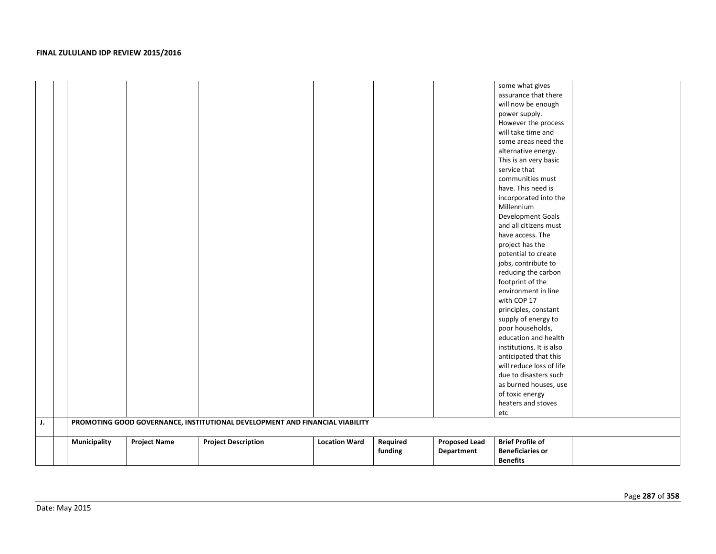| J. |              |                     | PROMOTING GOOD GOVERNANCE, INSTITUTIONAL DEVELOPMENT AND FINANCIAL VIABILITY |                      |          |                      | some what gives<br>assurance that there<br>will now be enough<br>power supply.<br>However the process<br>will take time and<br>some areas need the<br>alternative energy.<br>This is an very basic<br>service that<br>communities must<br>have. This need is<br>incorporated into the<br>Millennium<br>Development Goals<br>and all citizens must<br>have access. The<br>project has the<br>potential to create<br>jobs, contribute to<br>reducing the carbon<br>footprint of the<br>environment in line<br>with COP 17<br>principles, constant<br>supply of energy to<br>poor households,<br>education and health<br>institutions. It is also<br>anticipated that this<br>will reduce loss of life<br>due to disasters such<br>as burned houses, use<br>of toxic energy<br>heaters and stoves<br>etc |  |
|----|--------------|---------------------|------------------------------------------------------------------------------|----------------------|----------|----------------------|-------------------------------------------------------------------------------------------------------------------------------------------------------------------------------------------------------------------------------------------------------------------------------------------------------------------------------------------------------------------------------------------------------------------------------------------------------------------------------------------------------------------------------------------------------------------------------------------------------------------------------------------------------------------------------------------------------------------------------------------------------------------------------------------------------|--|
|    |              |                     |                                                                              |                      |          |                      |                                                                                                                                                                                                                                                                                                                                                                                                                                                                                                                                                                                                                                                                                                                                                                                                       |  |
|    | Municipality | <b>Project Name</b> | <b>Project Description</b>                                                   | <b>Location Ward</b> | Required | <b>Proposed Lead</b> | <b>Brief Profile of</b>                                                                                                                                                                                                                                                                                                                                                                                                                                                                                                                                                                                                                                                                                                                                                                               |  |
|    |              |                     |                                                                              |                      | funding  | Department           | <b>Beneficiaries or</b>                                                                                                                                                                                                                                                                                                                                                                                                                                                                                                                                                                                                                                                                                                                                                                               |  |
|    |              |                     |                                                                              |                      |          |                      | <b>Benefits</b>                                                                                                                                                                                                                                                                                                                                                                                                                                                                                                                                                                                                                                                                                                                                                                                       |  |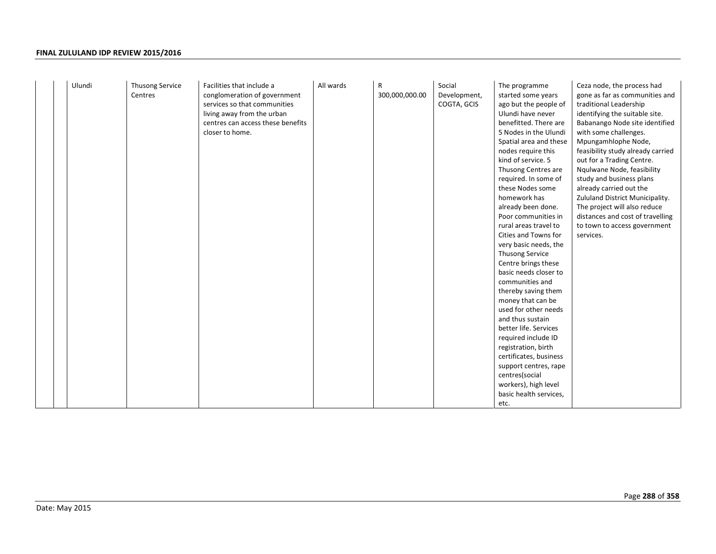|  | Ulundi | Thusong Service<br>Centres | Facilities that include a<br>conglomeration of government<br>services so that communities<br>living away from the urban<br>centres can access these benefits<br>closer to home. | All wards | R<br>300,000,000.00 | Social<br>Development,<br>COGTA, GCIS | The programme<br>started some years<br>ago but the people of<br>Ulundi have never<br>benefitted. There are<br>5 Nodes in the Ulundi<br>Spatial area and these<br>nodes require this<br>kind of service. 5<br>Thusong Centres are<br>required. In some of<br>these Nodes some<br>homework has<br>already been done.<br>Poor communities in<br>rural areas travel to<br>Cities and Towns for<br>very basic needs, the<br><b>Thusong Service</b><br>Centre brings these<br>basic needs closer to<br>communities and<br>thereby saving them<br>money that can be<br>used for other needs<br>and thus sustain<br>better life. Services<br>required include ID<br>registration, birth<br>certificates, business<br>support centres, rape<br>centres(social<br>workers), high level<br>basic health services,<br>etc. | Ceza node, the process had<br>gone as far as communities and<br>traditional Leadership<br>identifying the suitable site.<br>Babanango Node site identified<br>with some challenges.<br>Mpungamhlophe Node,<br>feasibility study already carried<br>out for a Trading Centre.<br>Ngulwane Node, feasibility<br>study and business plans<br>already carried out the<br>Zululand District Municipality.<br>The project will also reduce<br>distances and cost of travelling<br>to town to access government<br>services. |
|--|--------|----------------------------|---------------------------------------------------------------------------------------------------------------------------------------------------------------------------------|-----------|---------------------|---------------------------------------|----------------------------------------------------------------------------------------------------------------------------------------------------------------------------------------------------------------------------------------------------------------------------------------------------------------------------------------------------------------------------------------------------------------------------------------------------------------------------------------------------------------------------------------------------------------------------------------------------------------------------------------------------------------------------------------------------------------------------------------------------------------------------------------------------------------|-----------------------------------------------------------------------------------------------------------------------------------------------------------------------------------------------------------------------------------------------------------------------------------------------------------------------------------------------------------------------------------------------------------------------------------------------------------------------------------------------------------------------|
|--|--------|----------------------------|---------------------------------------------------------------------------------------------------------------------------------------------------------------------------------|-----------|---------------------|---------------------------------------|----------------------------------------------------------------------------------------------------------------------------------------------------------------------------------------------------------------------------------------------------------------------------------------------------------------------------------------------------------------------------------------------------------------------------------------------------------------------------------------------------------------------------------------------------------------------------------------------------------------------------------------------------------------------------------------------------------------------------------------------------------------------------------------------------------------|-----------------------------------------------------------------------------------------------------------------------------------------------------------------------------------------------------------------------------------------------------------------------------------------------------------------------------------------------------------------------------------------------------------------------------------------------------------------------------------------------------------------------|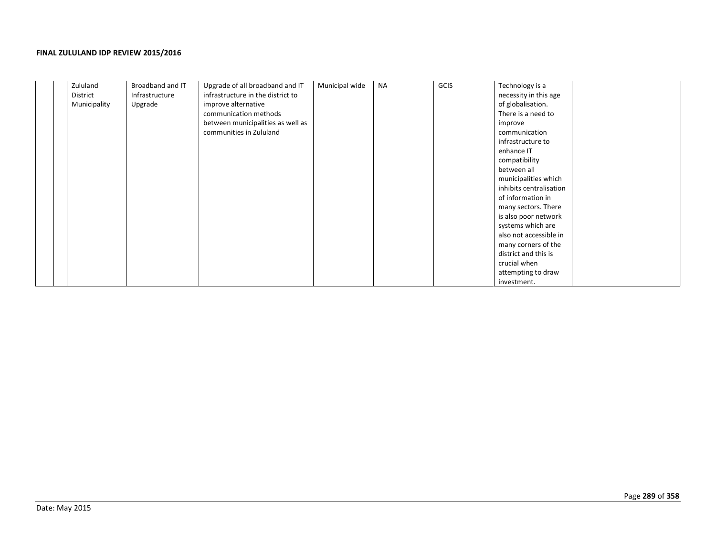|  | Zululand<br>District<br>Municipality | Broadband and IT<br>Infrastructure<br>Upgrade | Upgrade of all broadband and IT<br>infrastructure in the district to<br>improve alternative<br>communication methods<br>between municipalities as well as<br>communities in Zululand | Municipal wide | <b>NA</b> | GCIS | Technology is a<br>necessity in this age<br>of globalisation.<br>There is a need to<br>improve<br>communication<br>infrastructure to<br>enhance IT<br>compatibility<br>between all<br>municipalities which<br>inhibits centralisation<br>of information in<br>many sectors. There<br>is also poor network<br>systems which are<br>also not accessible in<br>many corners of the<br>district and this is<br>crucial when<br>attempting to draw<br>investment. |
|--|--------------------------------------|-----------------------------------------------|--------------------------------------------------------------------------------------------------------------------------------------------------------------------------------------|----------------|-----------|------|--------------------------------------------------------------------------------------------------------------------------------------------------------------------------------------------------------------------------------------------------------------------------------------------------------------------------------------------------------------------------------------------------------------------------------------------------------------|
|--|--------------------------------------|-----------------------------------------------|--------------------------------------------------------------------------------------------------------------------------------------------------------------------------------------|----------------|-----------|------|--------------------------------------------------------------------------------------------------------------------------------------------------------------------------------------------------------------------------------------------------------------------------------------------------------------------------------------------------------------------------------------------------------------------------------------------------------------|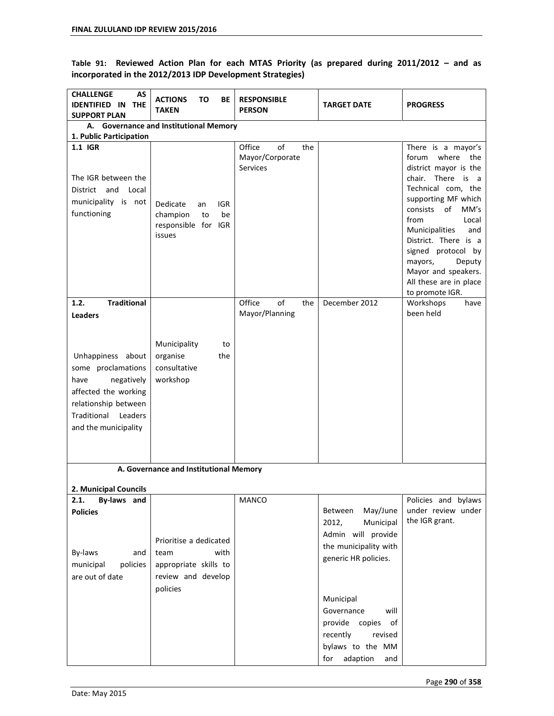Table 91: Reviewed Action Plan for each MTAS Priority (as prepared during 2011/2012 - and as **incorporated in the 2012/2013 IDP Development Strategies)** 

| <b>CHALLENGE</b><br>AS<br><b>IDENTIFIED IN</b><br><b>THE</b><br><b>SUPPORT PLAN</b>                                                                             | <b>ACTIONS</b><br>ΤО<br>ВE<br><b>TAKEN</b>                                                        | <b>RESPONSIBLE</b><br><b>PERSON</b>                       | <b>TARGET DATE</b>                                                                                                            | <b>PROGRESS</b>                                                                                                                                                                                                                                                                                                                                                |
|-----------------------------------------------------------------------------------------------------------------------------------------------------------------|---------------------------------------------------------------------------------------------------|-----------------------------------------------------------|-------------------------------------------------------------------------------------------------------------------------------|----------------------------------------------------------------------------------------------------------------------------------------------------------------------------------------------------------------------------------------------------------------------------------------------------------------------------------------------------------------|
| 1. Public Participation                                                                                                                                         | A. Governance and Institutional Memory                                                            |                                                           |                                                                                                                               |                                                                                                                                                                                                                                                                                                                                                                |
| 1.1 IGR<br>The IGR between the<br>and Local<br>District<br>municipality is not<br>functioning                                                                   | Dedicate<br>IGR<br>an<br>champion<br>be<br>to<br>responsible for IGR<br>issues                    | Office<br>of<br>the<br>Mayor/Corporate<br><b>Services</b> |                                                                                                                               | There is a mayor's<br>where the<br>forum<br>district mayor is the<br>chair. There is<br>$\overline{a}$<br>Technical com, the<br>supporting MF which<br>of<br>consists<br>MM's<br>from<br>Local<br>Municipalities<br>and<br>District. There is a<br>signed protocol by<br>mayors,<br>Deputy<br>Mayor and speakers.<br>All these are in place<br>to promote IGR. |
| 1.2.<br><b>Traditional</b><br><b>Leaders</b>                                                                                                                    |                                                                                                   | Office<br>of<br>the<br>Mayor/Planning                     | December 2012                                                                                                                 | Workshops<br>have<br>been held                                                                                                                                                                                                                                                                                                                                 |
| Unhappiness about<br>some proclamations<br>have<br>negatively<br>affected the working<br>relationship between<br>Traditional<br>Leaders<br>and the municipality | Municipality<br>to<br>organise<br>the<br>consultative<br>workshop                                 |                                                           |                                                                                                                               |                                                                                                                                                                                                                                                                                                                                                                |
|                                                                                                                                                                 | A. Governance and Institutional Memory                                                            |                                                           |                                                                                                                               |                                                                                                                                                                                                                                                                                                                                                                |
| 2. Municipal Councils                                                                                                                                           |                                                                                                   |                                                           |                                                                                                                               |                                                                                                                                                                                                                                                                                                                                                                |
| 2.1.<br>By-laws and<br><b>Policies</b><br>By-laws<br>and<br>policies<br>municipal<br>are out of date                                                            | Prioritise a dedicated<br>with<br>team<br>appropriate skills to<br>review and develop<br>policies | MANCO                                                     | May/June<br>Between<br>2012,<br>Municipal<br>Admin will provide<br>the municipality with<br>generic HR policies.<br>Municipal | Policies and bylaws<br>under review under<br>the IGR grant.                                                                                                                                                                                                                                                                                                    |
|                                                                                                                                                                 |                                                                                                   |                                                           | Governance<br>will<br>provide copies<br>of<br>recently<br>revised<br>bylaws to the MM<br>adaption<br>for<br>and               |                                                                                                                                                                                                                                                                                                                                                                |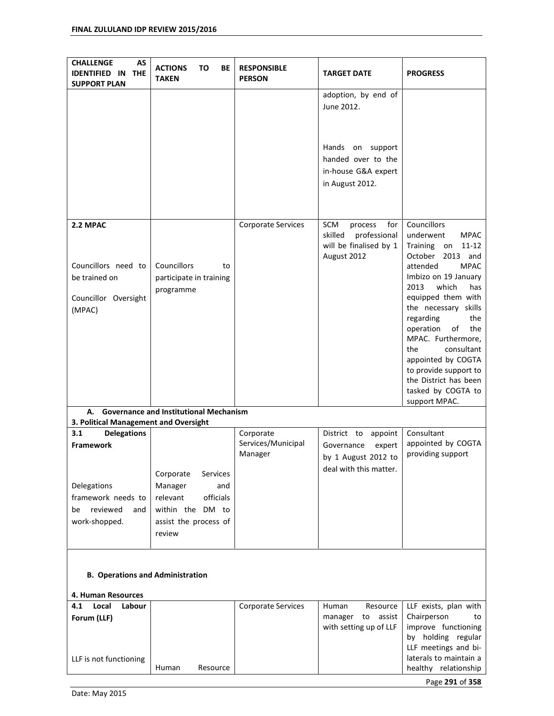| AS<br><b>CHALLENGE</b><br><b>IDENTIFIED IN</b><br><b>THE</b><br><b>SUPPORT PLAN</b>                                          | то<br>BE<br><b>ACTIONS</b><br><b>TAKEN</b>                                                                    | <b>RESPONSIBLE</b><br><b>PERSON</b>        | <b>TARGET DATE</b>                                                                                                    | <b>PROGRESS</b>                                                                                                                                                                                                                                                                                                                                                                                                                       |  |  |
|------------------------------------------------------------------------------------------------------------------------------|---------------------------------------------------------------------------------------------------------------|--------------------------------------------|-----------------------------------------------------------------------------------------------------------------------|---------------------------------------------------------------------------------------------------------------------------------------------------------------------------------------------------------------------------------------------------------------------------------------------------------------------------------------------------------------------------------------------------------------------------------------|--|--|
|                                                                                                                              |                                                                                                               |                                            | adoption, by end of<br>June 2012.<br>Hands on support<br>handed over to the<br>in-house G&A expert<br>in August 2012. |                                                                                                                                                                                                                                                                                                                                                                                                                                       |  |  |
| 2.2 MPAC<br>Councillors need to<br>be trained on<br>Councillor Oversight<br>(MPAC)                                           | Councillors<br>to<br>participate in training<br>programme                                                     | Corporate Services                         | SCM<br>for<br>process<br>professional<br>skilled<br>will be finalised by 1<br>August 2012                             | <b>Councillors</b><br>underwent<br><b>MPAC</b><br>Training<br>$11 - 12$<br>on<br>October<br>2013 and<br>attended<br><b>MPAC</b><br>Imbizo on 19 January<br>2013<br>which<br>has<br>equipped them with<br>the necessary skills<br>regarding<br>the<br>operation<br>of<br>the<br>MPAC. Furthermore,<br>consultant<br>the<br>appointed by COGTA<br>to provide support to<br>the District has been<br>tasked by COGTA to<br>support MPAC. |  |  |
| А.<br>3. Political Management and Oversight                                                                                  | <b>Governance and Institutional Mechanism</b>                                                                 |                                            |                                                                                                                       |                                                                                                                                                                                                                                                                                                                                                                                                                                       |  |  |
| 3.1<br><b>Delegations</b><br><b>Framework</b><br>Delegations<br>framework needs to<br>reviewed<br>be<br>and<br>work-shopped. | Corporate<br>Services<br>Manager<br>and<br>relevant<br>officials<br>within the DM to<br>assist the process of | Corporate<br>Services/Municipal<br>Manager | District to<br>appoint<br>Governance<br>expert<br>by 1 August 2012 to<br>deal with this matter.                       | Consultant<br>appointed by COGTA<br>providing support                                                                                                                                                                                                                                                                                                                                                                                 |  |  |
| review<br><b>B. Operations and Administration</b><br>4. Human Resources                                                      |                                                                                                               |                                            |                                                                                                                       |                                                                                                                                                                                                                                                                                                                                                                                                                                       |  |  |
| 4.1<br>Local<br>Labour<br>Forum (LLF)<br>LLF is not functioning                                                              | Human<br>Resource                                                                                             | Corporate Services                         | Resource<br>Human<br>manager to<br>assist<br>with setting up of LLF                                                   | LLF exists, plan with<br>Chairperson<br>to<br>improve functioning<br>by holding regular<br>LLF meetings and bi-<br>laterals to maintain a<br>healthy relationship                                                                                                                                                                                                                                                                     |  |  |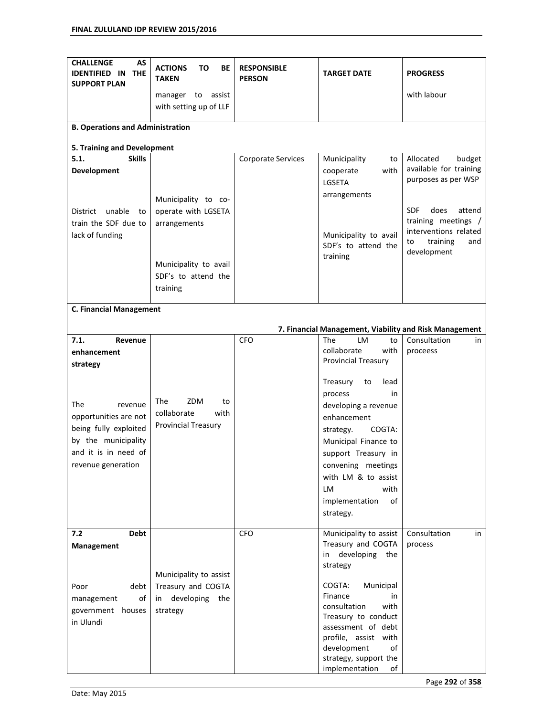| <b>CHALLENGE</b><br>AS<br><b>IDENTIFIED IN</b><br><b>THE</b><br><b>SUPPORT PLAN</b>                                                   | <b>ACTIONS</b><br>ΤО<br>ВE<br><b>TAKEN</b>                                          | <b>RESPONSIBLE</b><br><b>PERSON</b> | <b>TARGET DATE</b>                                                                                                                                                                                                                                                                             | <b>PROGRESS</b>                                               |
|---------------------------------------------------------------------------------------------------------------------------------------|-------------------------------------------------------------------------------------|-------------------------------------|------------------------------------------------------------------------------------------------------------------------------------------------------------------------------------------------------------------------------------------------------------------------------------------------|---------------------------------------------------------------|
|                                                                                                                                       | assist<br>manager<br>to<br>with setting up of LLF                                   |                                     |                                                                                                                                                                                                                                                                                                | with labour                                                   |
| <b>B. Operations and Administration</b>                                                                                               |                                                                                     |                                     |                                                                                                                                                                                                                                                                                                |                                                               |
| 5. Training and Development                                                                                                           |                                                                                     |                                     |                                                                                                                                                                                                                                                                                                |                                                               |
| <b>Skills</b><br>5.1.                                                                                                                 |                                                                                     | Corporate Services                  | Municipality<br>to                                                                                                                                                                                                                                                                             | Allocated<br>budget                                           |
| Development                                                                                                                           |                                                                                     |                                     | with<br>cooperate<br>LGSETA<br>arrangements                                                                                                                                                                                                                                                    | available for training<br>purposes as per WSP                 |
| unable<br>District<br>to<br>train the SDF due to                                                                                      | Municipality to co-<br>operate with LGSETA<br>arrangements                          |                                     |                                                                                                                                                                                                                                                                                                | <b>SDF</b><br>does<br>attend<br>training meetings /           |
| lack of funding                                                                                                                       |                                                                                     |                                     | Municipality to avail<br>SDF's to attend the<br>training                                                                                                                                                                                                                                       | interventions related<br>training<br>and<br>to<br>development |
|                                                                                                                                       | Municipality to avail<br>SDF's to attend the<br>training                            |                                     |                                                                                                                                                                                                                                                                                                |                                                               |
| <b>C. Financial Management</b>                                                                                                        |                                                                                     |                                     |                                                                                                                                                                                                                                                                                                |                                                               |
|                                                                                                                                       |                                                                                     |                                     |                                                                                                                                                                                                                                                                                                |                                                               |
|                                                                                                                                       |                                                                                     |                                     | 7. Financial Management, Viability and Risk Management                                                                                                                                                                                                                                         |                                                               |
| 7.1.<br>Revenue<br>enhancement<br>strategy                                                                                            |                                                                                     | <b>CFO</b>                          | The<br>LM<br>to<br>collaborate<br>with<br><b>Provincial Treasury</b>                                                                                                                                                                                                                           | Consultation<br>in<br>proceess                                |
| The<br>revenue<br>opportunities are not<br>being fully exploited<br>by the municipality<br>and it is in need of<br>revenue generation | ZDM<br>The<br>to<br>collaborate<br>with<br><b>Provincial Treasury</b>               |                                     | Treasury<br>lead<br>to<br>process<br>in<br>developing a revenue<br>enhancement<br>COGTA:<br>strategy.<br>Municipal Finance to<br>support Treasury in<br>convening meetings<br>with LM & to assist<br>LM<br>with<br>implementation<br>of<br>strategy.                                           |                                                               |
| 7.2<br>Debt<br><b>Management</b><br>debt<br>Poor<br>of<br>management<br>government houses<br>in Ulundi                                | Municipality to assist<br>Treasury and COGTA<br>developing<br>the<br>in<br>strategy | <b>CFO</b>                          | Municipality to assist<br>Treasury and COGTA<br>developing<br>the<br>in<br>strategy<br>COGTA:<br>Municipal<br>Finance<br>in<br>consultation<br>with<br>Treasury to conduct<br>assessment of debt<br>profile, assist with<br>development<br>of<br>strategy, support the<br>implementation<br>of | Consultation<br>in<br>process                                 |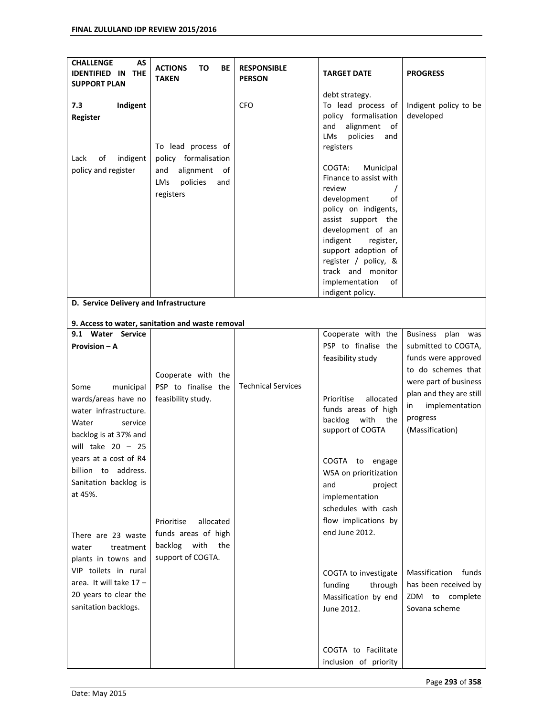| <b>CHALLENGE</b><br>AS<br><b>IDENTIFIED IN</b><br><b>THE</b><br><b>SUPPORT PLAN</b> | <b>ACTIONS</b><br>TO<br>ВE<br><b>TAKEN</b>       | <b>RESPONSIBLE</b><br><b>PERSON</b> | <b>TARGET DATE</b>                                                                             | <b>PROGRESS</b>                            |
|-------------------------------------------------------------------------------------|--------------------------------------------------|-------------------------------------|------------------------------------------------------------------------------------------------|--------------------------------------------|
|                                                                                     |                                                  |                                     | debt strategy.                                                                                 |                                            |
| 7.3<br>Indigent<br>Register                                                         | To lead process of                               | <b>CFO</b>                          | To lead process of<br>policy formalisation<br>alignment<br>and<br>of<br>policies<br>LMs<br>and | Indigent policy to be<br>developed         |
| Lack<br>of<br>indigent                                                              | policy formalisation                             |                                     | registers                                                                                      |                                            |
| policy and register                                                                 | alignment<br>and<br>of<br>LMs<br>policies<br>and |                                     | COGTA:<br>Municipal<br>Finance to assist with<br>review                                        |                                            |
|                                                                                     | registers                                        |                                     | development<br>οf<br>policy on indigents,                                                      |                                            |
|                                                                                     |                                                  |                                     | assist support the<br>development of an<br>indigent<br>register,                               |                                            |
|                                                                                     |                                                  |                                     | support adoption of<br>register / policy, &                                                    |                                            |
|                                                                                     |                                                  |                                     | track and monitor<br>implementation<br>of                                                      |                                            |
| D. Service Delivery and Infrastructure                                              |                                                  |                                     | indigent policy.                                                                               |                                            |
|                                                                                     |                                                  |                                     |                                                                                                |                                            |
|                                                                                     | 9. Access to water, sanitation and waste removal |                                     |                                                                                                |                                            |
| 9.1 Water Service                                                                   |                                                  |                                     | Cooperate with the                                                                             | <b>Business</b><br>plan was                |
| Provision - A                                                                       |                                                  |                                     | PSP to finalise the<br>feasibility study                                                       | submitted to COGTA,<br>funds were approved |
|                                                                                     |                                                  |                                     |                                                                                                | to do schemes that                         |
|                                                                                     | Cooperate with the                               | <b>Technical Services</b>           |                                                                                                | were part of business                      |
| Some<br>municipal<br>wards/areas have no                                            | PSP to finalise the<br>feasibility study.        |                                     | Prioritise<br>allocated                                                                        | plan and they are still                    |
| water infrastructure.                                                               |                                                  |                                     | funds areas of high                                                                            | implementation<br>in                       |
| Water<br>service                                                                    |                                                  |                                     | with<br>backlog<br>the                                                                         | progress                                   |
| backlog is at 37% and                                                               |                                                  |                                     | support of COGTA                                                                               | (Massification)                            |
| will take $20 - 25$                                                                 |                                                  |                                     |                                                                                                |                                            |
| years at a cost of R4                                                               |                                                  |                                     | COGTA to engage                                                                                |                                            |
| billion to address.                                                                 |                                                  |                                     | WSA on prioritization                                                                          |                                            |
| Sanitation backlog is                                                               |                                                  |                                     | project<br>and                                                                                 |                                            |
| at 45%.                                                                             |                                                  |                                     | implementation                                                                                 |                                            |
|                                                                                     |                                                  |                                     | schedules with cash                                                                            |                                            |
|                                                                                     | allocated<br>Prioritise                          |                                     | flow implications by                                                                           |                                            |
| There are 23 waste                                                                  | funds areas of high                              |                                     | end June 2012.                                                                                 |                                            |
| treatment<br>water                                                                  | with<br>backlog<br>the                           |                                     |                                                                                                |                                            |
| plants in towns and                                                                 | support of COGTA.                                |                                     |                                                                                                |                                            |
| VIP toilets in rural                                                                |                                                  |                                     | COGTA to investigate                                                                           | Massification<br>funds                     |
| area. It will take $17 -$                                                           |                                                  |                                     | funding<br>through                                                                             | has been received by                       |
| 20 years to clear the                                                               |                                                  |                                     | Massification by end                                                                           | ZDM to complete                            |
| sanitation backlogs.                                                                |                                                  |                                     | June 2012.                                                                                     | Sovana scheme                              |
|                                                                                     |                                                  |                                     |                                                                                                |                                            |
|                                                                                     |                                                  |                                     | COGTA to Facilitate<br>inclusion of priority                                                   |                                            |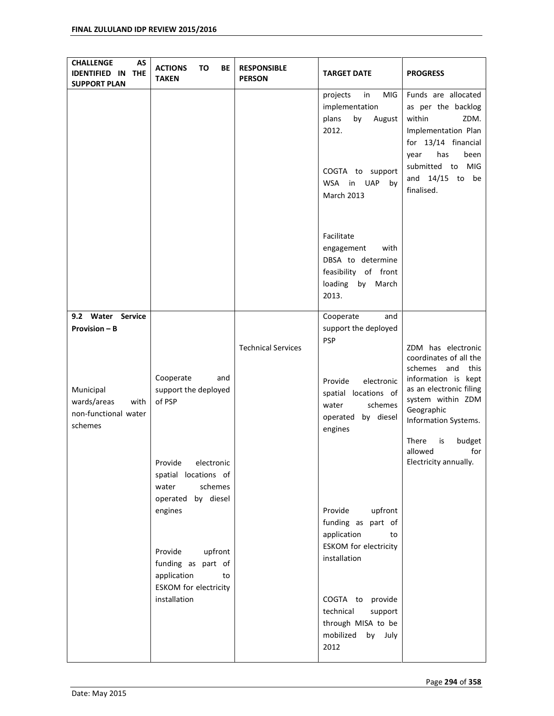| <b>CHALLENGE</b><br>AS<br><b>IDENTIFIED IN</b><br><b>THE</b><br><b>SUPPORT PLAN</b> | <b>ACTIONS</b><br>TO<br>BE<br><b>TAKEN</b>                                              | <b>RESPONSIBLE</b><br><b>PERSON</b> | <b>TARGET DATE</b>                                                                                                                 | <b>PROGRESS</b>                                                                                                                                                                         |
|-------------------------------------------------------------------------------------|-----------------------------------------------------------------------------------------|-------------------------------------|------------------------------------------------------------------------------------------------------------------------------------|-----------------------------------------------------------------------------------------------------------------------------------------------------------------------------------------|
|                                                                                     |                                                                                         |                                     | in<br>MIG<br>projects<br>implementation<br>by<br>plans<br>August<br>2012.<br>COGTA to support<br>UAP<br>WSA in<br>by<br>March 2013 | Funds are allocated<br>as per the backlog<br>within<br>ZDM.<br>Implementation Plan<br>for 13/14 financial<br>has<br>been<br>year<br>submitted to MIG<br>and $14/15$ to be<br>finalised. |
|                                                                                     |                                                                                         |                                     | Facilitate<br>engagement<br>with<br>DBSA to determine<br>feasibility of front<br>loading<br>by March<br>2013.                      |                                                                                                                                                                                         |
| 9.2 Water Service<br><b>Provision - B</b>                                           |                                                                                         | <b>Technical Services</b>           | Cooperate<br>and<br>support the deployed<br><b>PSP</b>                                                                             | ZDM has electronic<br>coordinates of all the<br>schemes and<br>this                                                                                                                     |
| Municipal<br>wards/areas<br>with<br>non-functional water<br>schemes                 | Cooperate<br>and<br>support the deployed<br>of PSP                                      |                                     | electronic<br>Provide<br>spatial locations of<br>water<br>schemes<br>operated by diesel<br>engines                                 | information is kept<br>as an electronic filing<br>system within ZDM<br>Geographic<br>Information Systems.<br>There<br>is<br>budget                                                      |
|                                                                                     | Provide<br>electronic<br>spatial locations of<br>schemes<br>water<br>operated by diesel |                                     |                                                                                                                                    | allowed<br>for<br>Electricity annually.                                                                                                                                                 |
|                                                                                     | engines<br>Provide<br>upfront                                                           |                                     | Provide<br>upfront<br>funding as<br>part of<br>application<br>to<br><b>ESKOM</b> for electricity                                   |                                                                                                                                                                                         |
|                                                                                     | funding as part of<br>application<br>to<br><b>ESKOM</b> for electricity                 |                                     | installation                                                                                                                       |                                                                                                                                                                                         |
|                                                                                     | installation                                                                            |                                     | COGTA to<br>provide<br>technical<br>support<br>through MISA to be<br>mobilized<br>by July<br>2012                                  |                                                                                                                                                                                         |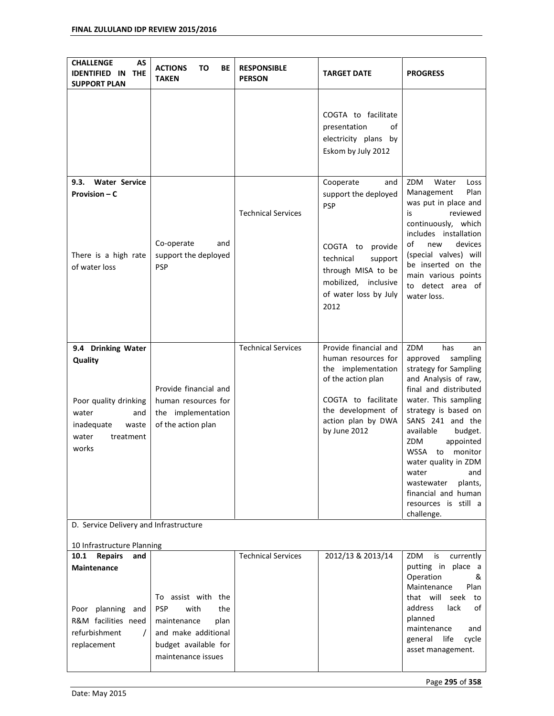| <b>CHALLENGE</b><br>AS<br><b>IDENTIFIED IN</b><br><b>THE</b><br><b>SUPPORT PLAN</b>                                          | <b>ACTIONS</b><br>то<br>ВE<br><b>TAKEN</b>                                               | <b>RESPONSIBLE</b><br><b>PERSON</b> | <b>TARGET DATE</b>                                                                                                                                                          | <b>PROGRESS</b>                                                                                                                                                                                                                                                                                                                                                                     |
|------------------------------------------------------------------------------------------------------------------------------|------------------------------------------------------------------------------------------|-------------------------------------|-----------------------------------------------------------------------------------------------------------------------------------------------------------------------------|-------------------------------------------------------------------------------------------------------------------------------------------------------------------------------------------------------------------------------------------------------------------------------------------------------------------------------------------------------------------------------------|
|                                                                                                                              |                                                                                          |                                     | COGTA to facilitate<br>presentation<br>of<br>electricity plans by<br>Eskom by July 2012                                                                                     |                                                                                                                                                                                                                                                                                                                                                                                     |
| <b>Water Service</b><br>9.3.<br>Provision – C<br>There is a high rate                                                        | Co-operate<br>and<br>support the deployed                                                | <b>Technical Services</b>           | Cooperate<br>and<br>support the deployed<br>PSP<br>COGTA to<br>provide<br>technical<br>support                                                                              | ZDM<br>Water<br>Loss<br>Plan<br>Management<br>was put in place and<br>reviewed<br>is<br>continuously, which<br>includes installation<br>of<br>devices<br>new<br>(special valves) will<br>be inserted on the                                                                                                                                                                         |
| of water loss                                                                                                                | <b>PSP</b>                                                                               |                                     | through MISA to be<br>mobilized, inclusive<br>of water loss by July<br>2012                                                                                                 | main various points<br>to detect area of<br>water loss.                                                                                                                                                                                                                                                                                                                             |
| 9.4 Drinking Water<br>Quality<br>Poor quality drinking<br>water<br>and<br>inadequate<br>waste<br>water<br>treatment<br>works | Provide financial and<br>human resources for<br>the implementation<br>of the action plan | <b>Technical Services</b>           | Provide financial and<br>human resources for<br>the implementation<br>of the action plan<br>COGTA to facilitate<br>the development of<br>action plan by DWA<br>by June 2012 | ZDM<br>has<br>an<br>approved<br>sampling<br>strategy for Sampling<br>and Analysis of raw,<br>final and distributed<br>water. This sampling<br>strategy is based on<br>SANS 241 and the<br>available<br>budget.<br>ZDM<br>appointed<br>WSSA to monitor<br>water quality in ZDM<br>water<br>and<br>plants,<br>wastewater<br>financial and human<br>resources is still a<br>challenge. |
| D. Service Delivery and Infrastructure                                                                                       |                                                                                          |                                     |                                                                                                                                                                             |                                                                                                                                                                                                                                                                                                                                                                                     |
| 10 Infrastructure Planning<br><b>Repairs</b><br>10.1<br>and<br><b>Maintenance</b><br>Poor planning<br>and                    | To assist with the<br><b>PSP</b><br>with<br>the                                          | <b>Technical Services</b>           | 2012/13 & 2013/14                                                                                                                                                           | ZDM<br>currently<br>is<br>putting in place a<br>Operation<br>&<br>Maintenance<br>Plan<br>that will<br>seek<br>to<br>address<br>lack<br>οf                                                                                                                                                                                                                                           |
| R&M facilities need<br>refurbishment<br>$\prime$<br>replacement                                                              | maintenance<br>plan<br>and make additional<br>budget available for<br>maintenance issues |                                     |                                                                                                                                                                             | planned<br>maintenance<br>and<br>life<br>cycle<br>general<br>asset management.                                                                                                                                                                                                                                                                                                      |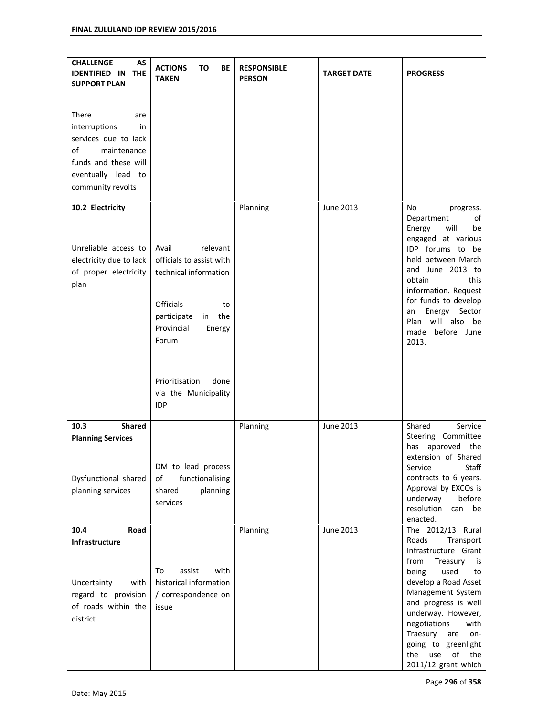| <b>CHALLENGE</b><br>AS<br><b>IDENTIFIED IN</b><br><b>THE</b><br><b>SUPPORT PLAN</b>                                                                 | <b>ACTIONS</b><br>TO<br>BE<br><b>TAKEN</b>                                                                                                                                           | <b>RESPONSIBLE</b><br><b>PERSON</b> | <b>TARGET DATE</b> | <b>PROGRESS</b>                                                                                                                                                                                                                                                                                                                        |
|-----------------------------------------------------------------------------------------------------------------------------------------------------|--------------------------------------------------------------------------------------------------------------------------------------------------------------------------------------|-------------------------------------|--------------------|----------------------------------------------------------------------------------------------------------------------------------------------------------------------------------------------------------------------------------------------------------------------------------------------------------------------------------------|
| There<br>are<br>interruptions<br>in<br>services due to lack<br>of<br>maintenance<br>funds and these will<br>eventually lead to<br>community revolts |                                                                                                                                                                                      |                                     |                    |                                                                                                                                                                                                                                                                                                                                        |
| 10.2 Electricity<br>Unreliable access to<br>electricity due to lack<br>of proper electricity<br>plan                                                | relevant<br>Avail<br>officials to assist with<br>technical information<br><b>Officials</b><br>to<br>in the<br>participate<br>Provincial<br>Energy<br>Forum<br>Prioritisation<br>done | Planning                            | June 2013          | No<br>progress.<br>Department<br>of<br>will<br>Energy<br>be<br>engaged at various<br>IDP forums to be<br>held between March<br>and June 2013 to<br>obtain<br>this<br>information. Request<br>for funds to develop<br>Energy<br>Sector<br>an<br>will also be<br>Plan<br>made before June<br>2013.                                       |
|                                                                                                                                                     | via the Municipality<br><b>IDP</b>                                                                                                                                                   |                                     |                    |                                                                                                                                                                                                                                                                                                                                        |
| 10.3<br><b>Shared</b><br><b>Planning Services</b><br>Dysfunctional shared<br>planning services                                                      | DM to lead process<br>functionalising<br>οf<br>shared<br>planning<br>services                                                                                                        | Planning                            | June 2013          | Shared<br>Service<br>Steering Committee<br>has<br>approved<br>the<br>extension of Shared<br>Service<br>Staff<br>contracts to 6 years.<br>Approval by EXCOs is<br>underway<br>before<br>resolution<br>can<br>be<br>enacted.                                                                                                             |
| 10.4<br>Road<br>Infrastructure<br>Uncertainty<br>with<br>regard to provision<br>of roads within the<br>district                                     | assist<br>with<br>To<br>historical information<br>/ correspondence on<br>issue                                                                                                       | Planning                            | June 2013          | The 2012/13 Rural<br>Roads<br>Transport<br>Infrastructure Grant<br>from<br>Treasury<br>is<br>being<br>used<br>to<br>develop a Road Asset<br>Management System<br>and progress is well<br>underway. However,<br>negotiations<br>with<br>Traesury<br>are<br>on-<br>going to greenlight<br>the<br>use<br>of<br>the<br>2011/12 grant which |